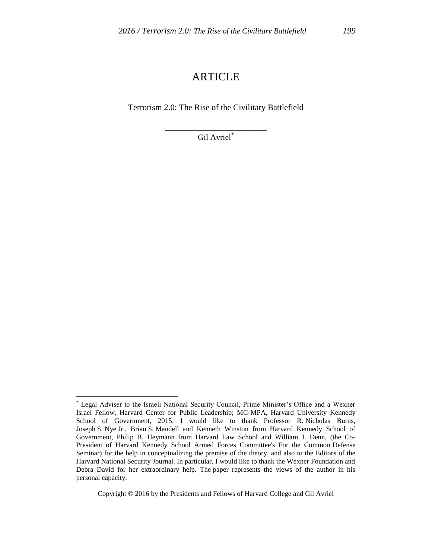# ARTICLE

Terrorism 2.0: The Rise of the Civilitary Battlefield

\_\_\_\_\_\_\_\_\_\_\_\_\_\_\_\_\_\_\_\_\_\_\_\_ Gil Avriel\*

 $\overline{a}$ 

Copyright © 2016 by the Presidents and Fellows of Harvard College and Gil Avriel

<sup>\*</sup> Legal Adviser to the Israeli National Security Council, Prime Minister's Office and a Wexner Israel Fellow, Harvard Center for Public Leadership; MC-MPA, Harvard University Kennedy School of Government, 2015. I would like to thank Professor R. Nicholas Burns, Joseph S. Nye Jr., Brian S. Mandell and Kenneth Winston from Harvard Kennedy School of Government, Philip B. Heymann from Harvard Law School and William J. Denn, (the Co-President of Harvard Kennedy School Armed Forces Committee's For the Common Defense Seminar) for the help in conceptualizing the premise of the theory, and also to the Editors of the Harvard National Security Journal. In particular, I would like to thank the Wexner Foundation and Debra David for her extraordinary help. The paper represents the views of the author in his personal capacity.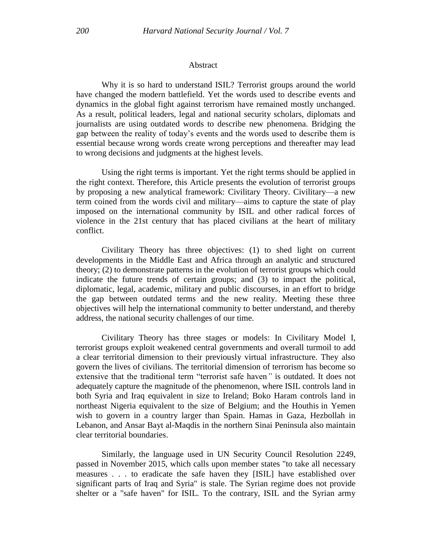#### **Abstract**

Why it is so hard to understand ISIL? Terrorist groups around the world have changed the modern battlefield. Yet the words used to describe events and dynamics in the global fight against terrorism have remained mostly unchanged. As a result, political leaders, legal and national security scholars, diplomats and journalists are using outdated words to describe new phenomena. Bridging the gap between the reality of today's events and the words used to describe them is essential because wrong words create wrong perceptions and thereafter may lead to wrong decisions and judgments at the highest levels.

Using the right terms is important. Yet the right terms should be applied in the right context. Therefore, this Article presents the evolution of terrorist groups by proposing a new analytical framework: Civilitary Theory. Civilitary—a new term coined from the words civil and military—aims to capture the state of play imposed on the international community by ISIL and other radical forces of violence in the 21st century that has placed civilians at the heart of military conflict.

Civilitary Theory has three objectives: (1) to shed light on current developments in the Middle East and Africa through an analytic and structured theory; (2) to demonstrate patterns in the evolution of terrorist groups which could indicate the future trends of certain groups; and (3) to impact the political, diplomatic, legal, academic, military and public discourses, in an effort to bridge the gap between outdated terms and the new reality. Meeting these three objectives will help the international community to better understand, and thereby address, the national security challenges of our time.

Civilitary Theory has three stages or models: In Civilitary Model I, terrorist groups exploit weakened central governments and overall turmoil to add a clear territorial dimension to their previously virtual infrastructure. They also govern the lives of civilians. The territorial dimension of terrorism has become so extensive that the traditional term "terrorist safe haven*"* is outdated. It does not adequately capture the magnitude of the phenomenon, where ISIL controls land in both Syria and Iraq equivalent in size to Ireland; Boko Haram controls land in northeast Nigeria equivalent to the size of Belgium; and the Houthis in Yemen wish to govern in a country larger than Spain. Hamas in Gaza, Hezbollah in Lebanon, and Ansar Bayt al-Maqdis in the northern Sinai Peninsula also maintain clear territorial boundaries.

Similarly, the language used in UN Security Council Resolution 2249, passed in November 2015, which calls upon member states "to take all necessary measures . . . to eradicate the safe haven they [ISIL] have established over significant parts of Iraq and Syria" is stale. The Syrian regime does not provide shelter or a "safe haven" for ISIL. To the contrary, ISIL and the Syrian army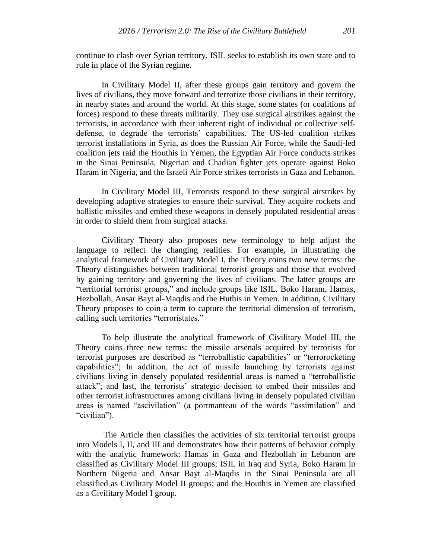continue to clash over Syrian territory. ISIL seeks to establish its own state and to rule in place of the Syrian regime.

In Civilitary Model II, after these groups gain territory and govern the lives of civilians, they move forward and terrorize those civilians in their territory, in nearby states and around the world. At this stage, some states (or coalitions of forces) respond to these threats militarily. They use surgical airstrikes against the terrorists, in accordance with their inherent right of individual or collective selfdefense, to degrade the terrorists' capabilities. The US-led coalition strikes terrorist installations in Syria, as does the Russian Air Force, while the Saudi-led coalition jets raid the Houthis in Yemen, the Egyptian Air Force conducts strikes in the Sinai Peninsula, Nigerian and Chadian fighter jets operate against Boko Haram in Nigeria, and the Israeli Air Force strikes terrorists in Gaza and Lebanon.

In Civilitary Model III, Terrorists respond to these surgical airstrikes by developing adaptive strategies to ensure their survival. They acquire rockets and ballistic missiles and embed these weapons in densely populated residential areas in order to shield them from surgical attacks.

Civilitary Theory also proposes new terminology to help adjust the language to reflect the changing realities. For example, in illustrating the analytical framework of Civilitary Model I, the Theory coins two new terms: the Theory distinguishes between traditional terrorist groups and those that evolved by gaining territory and governing the lives of civilians. The latter groups are "territorial terrorist groups," and include groups like ISIL, Boko Haram, Hamas, Hezbollah, Ansar Bayt al-Maqdis and the Huthis in Yemen. In addition, Civilitary Theory proposes to coin a term to capture the territorial dimension of terrorism, calling such territories "terroristates."

To help illustrate the analytical framework of Civilitary Model III, the Theory coins three new terms: the missile arsenals acquired by terrorists for terrorist purposes are described as "terroballistic capabilities" or "terrorocketing capabilities"; In addition, the act of missile launching by terrorists against civilians living in densely populated residential areas is named a "terroballistic attack"; and last, the terrorists' strategic decision to embed their missiles and other terrorist infrastructures among civilians living in densely populated civilian areas is named "ascivilation" (a portmanteau of the words "assimilation" and "civilian").

The Article then classifies the activities of six territorial terrorist groups into Models I, II, and III and demonstrates how their patterns of behavior comply with the analytic framework: Hamas in Gaza and Hezbollah in Lebanon are classified as Civilitary Model III groups; ISIL in Iraq and Syria, Boko Haram in Northern Nigeria and Ansar Bayt al-Maqdis in the Sinai Peninsula are all classified as Civilitary Model II groups; and the Houthis in Yemen are classified as a Civilitary Model I group.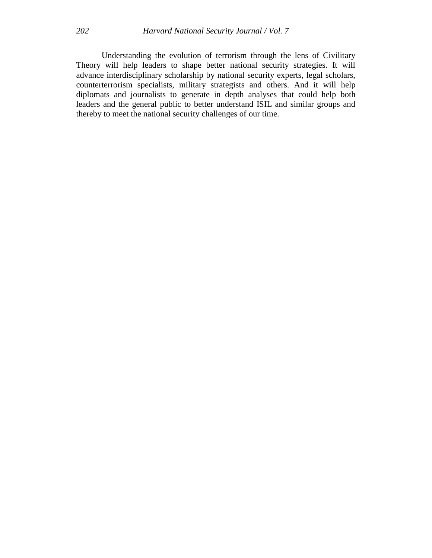Understanding the evolution of terrorism through the lens of Civilitary Theory will help leaders to shape better national security strategies. It will advance interdisciplinary scholarship by national security experts, legal scholars, counterterrorism specialists, military strategists and others. And it will help diplomats and journalists to generate in depth analyses that could help both leaders and the general public to better understand ISIL and similar groups and thereby to meet the national security challenges of our time.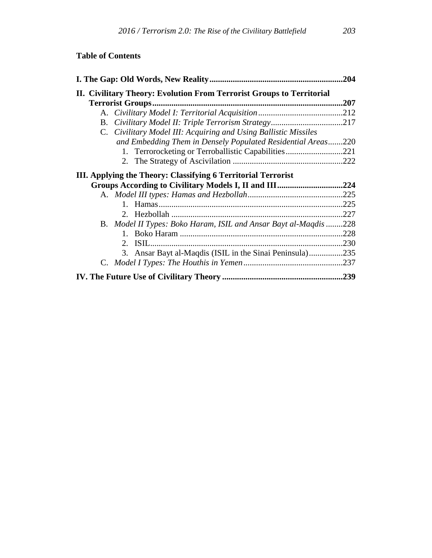# **Table of Contents**

|                                                                       | .204 |
|-----------------------------------------------------------------------|------|
| II. Civilitary Theory: Evolution From Terrorist Groups to Territorial | .207 |
|                                                                       |      |
| Civilitary Model II: Triple Terrorism Strategy217<br>B.               |      |
| C. Civilitary Model III: Acquiring and Using Ballistic Missiles       |      |
| and Embedding Them in Densely Populated Residential Areas220          |      |
| 1. Terrorocketing or Terroballistic Capabilities                      | .221 |
|                                                                       |      |
| III. Applying the Theory: Classifying 6 Territorial Terrorist         |      |
|                                                                       |      |
|                                                                       | .225 |
|                                                                       | .225 |
|                                                                       | .227 |
| B. Model II Types: Boko Haram, ISIL and Ansar Bayt al-Maqdis 228      |      |
|                                                                       | .228 |
|                                                                       | .230 |
| 3. Ansar Bayt al-Maqdis (ISIL in the Sinai Peninsula)235              |      |
|                                                                       |      |
|                                                                       |      |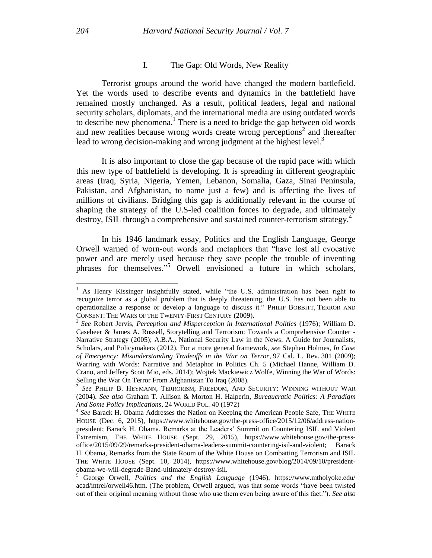### I. The Gap: Old Words, New Reality

Terrorist groups around the world have changed the modern battlefield. Yet the words used to describe events and dynamics in the battlefield have remained mostly unchanged. As a result, political leaders, legal and national security scholars, diplomats, and the international media are using outdated words to describe new phenomena. 1 There is a need to bridge the gap between old words and new realities because wrong words create wrong perceptions<sup>2</sup> and thereafter lead to wrong decision-making and wrong judgment at the highest level. $3$ 

It is also important to close the gap because of the rapid pace with which this new type of battlefield is developing. It is spreading in different geographic areas (Iraq, Syria, Nigeria, Yemen, Lebanon, Somalia, Gaza, Sinai Peninsula, Pakistan, and Afghanistan, to name just a few) and is affecting the lives of millions of civilians. Bridging this gap is additionally relevant in the course of shaping the strategy of the U.S-led coalition forces to degrade, and ultimately destroy, ISIL through a comprehensive and sustained counter-terrorism strategy.<sup>4</sup>

In his 1946 landmark essay, Politics and the English Language, George Orwell warned of worn-out words and metaphors that "have lost all evocative power and are merely used because they save people the trouble of inventing phrases for themselves." <sup>5</sup> Orwell envisioned a future in which scholars,

<sup>&</sup>lt;sup>1</sup> As Henry Kissinger insightfully stated, while "the U.S. administration has been right to recognize terror as a global problem that is deeply threatening, the U.S. has not been able to operationalize a response or develop a language to discuss it." PHILIP BOBBITT, TERROR AND CONSENT: THE WARS OF THE TWENTY-FIRST CENTURY (2009).

<sup>2</sup> *See* Robert Jervis, *Perception and Misperception in International Politics* (1976); William D. Casebeer & James A. Russell, Storytelling and Terrorism: Towards a Comprehensive Counter - Narrative Strategy (2005); A.B.A., National Security Law in the News: A Guide for Journalists, Scholars, and Policymakers (2012). For a more general framework, *see* Stephen Holmes, *In Case of Emergency: Misunderstanding Tradeoffs in the War on Terror*, 97 Cal. L. Rev. 301 (2009); Warring with Words: Narrative and Metaphor in Politics Ch. 5 (Michael Hanne, William D. Crano, and Jeffery Scott Mio, eds. 2014); Wojtek Mackiewicz Wolfe, Winning the War of Words: Selling the War On Terror From Afghanistan To Iraq (2008).

<sup>3</sup> *See* PHILIP B. HEYMANN, TERRORISM, FREEDOM, AND SECURITY: WINNING WITHOUT WAR (2004). *See also* Graham T. Allison & Morton H. Halperin, *Bureaucratic Politics: A Paradigm And Some Policy Implications*, 24 WORLD POL. 40 (1972)

<sup>&</sup>lt;sup>4</sup> See Barack H. Obama Addresses the Nation on Keeping the American People Safe, THE WHITE HOUSE (Dec. 6, 2015), https://www.whitehouse.gov/the-press-office/2015/12/06/address-nationpresident; Barack H. Obama, Remarks at the Leaders' Summit on Countering ISIL and Violent Extremism, THE WHITE HOUSE (Sept. 29, 2015), https://www.whitehouse.gov/the-pressoffice/2015/09/29/remarks-president-obama-leaders-summit-countering-isil-and-violent; Barack H. Obama, Remarks from the State Room of the White House on Combatting Terrorism and ISIL THE WHITE HOUSE (Sept. 10, 2014), https://www.whitehouse.gov/blog/2014/09/10/presidentobama-we-will-degrade-Band-ultimately-destroy-isil.

<sup>5</sup> George Orwell, *Politics and the English Language* (1946), https://www.mtholyoke.edu/ acad/intrel/orwell46.htm. (The problem, Orwell argued, was that some words "have been twisted out of their original meaning without those who use them even being aware of this fact."). *See also*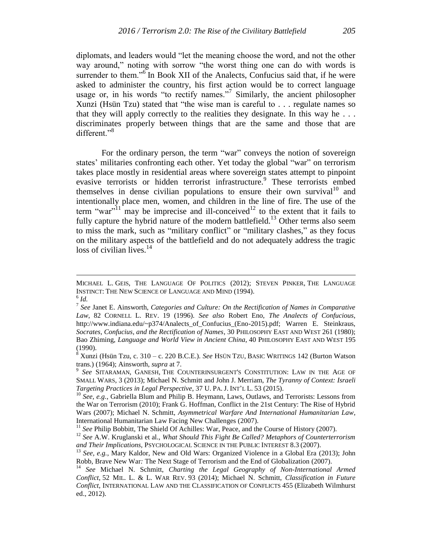diplomats, and leaders would "let the meaning choose the word, and not the other way around," noting with sorrow "the worst thing one can do with words is surrender to them."<sup>6</sup> In Book XII of the Analects, Confucius said that, if he were asked to administer the country, his first action would be to correct language usage or, in his words "to rectify names."<sup>7</sup> Similarly, the ancient philosopher Xunzi (Hsün Tzu) stated that "the wise man is careful to . . . regulate names so that they will apply correctly to the realities they designate. In this way he... discriminates properly between things that are the same and those that are different."<sup>8</sup>

For the ordinary person, the term "war" conveys the notion of sovereign states' militaries confronting each other. Yet today the global "war" on terrorism takes place mostly in residential areas where sovereign states attempt to pinpoint evasive terrorists or hidden terrorist infrastructure.<sup>9</sup> These terrorists embed themselves in dense civilian populations to ensure their own survival  $10^{\circ}$  and intentionally place men, women, and children in the line of fire. The use of the term "war"<sup>11</sup> may be imprecise and ill-conceived<sup>12</sup> to the extent that it fails to fully capture the hybrid nature of the modern battlefield.<sup>13</sup> Other terms also seem to miss the mark, such as "military conflict" or "military clashes," as they focus on the military aspects of the battlefield and do not adequately address the tragic loss of civilian lives. $^{14}$ 

MICHAEL L. GEIS, THE LANGUAGE OF POLITICS (2012); STEVEN PINKER, THE LANGUAGE INSTINCT: THE NEW SCIENCE OF LANGUAGE AND MIND (1994).

<sup>6</sup> *Id.*

<sup>7</sup> *See* Janet E. Ainsworth, *Categories and Culture: On the Rectification of Names in Comparative Law*, 82 CORNELL L. REV. 19 (1996). *See also* Robert Eno, *The Analects of Confucious*, http://www.indiana.edu/~p374/Analects\_of\_Confucius\_(Eno-2015).pdf; Warren E. Steinkraus, *Socrates, Confucius, and the Rectification of Names*, 30 PHILOSOPHY EAST AND WEST 261 (1980); Bao Zhiming, *Language and World View in Ancient China*, 40 PHILOSOPHY EAST AND WEST 195 (1990).

<sup>8</sup> Xunzi (Hsün Tzu, c. 310 – c. 220 B.C.E.). *See* HSÜN TZU, BASIC WRITINGS 142 (Burton Watson trans.) (1964); Ainsworth, *supra* at 7.

<sup>9</sup> *See* SITARAMAN, GANESH, THE COUNTERINSURGENT'S CONSTITUTION: LAW IN THE AGE OF SMALL WARS, 3 (2013); Michael N. Schmitt and John J. Merriam, *The Tyranny of Context: Israeli Targeting Practices in Legal Perspective*, 37 U. PA. J. INT'L L. 53 (2015).

<sup>&</sup>lt;sup>10</sup> See, e.g., Gabriella Blum and Philip B. Heymann, Laws, Outlaws, and Terrorists: Lessons from the War on Terrorism (2010); Frank G. Hoffman, Conflict in the 21st Century: The Rise of Hybrid Wars (2007); Michael N. Schmitt, *Asymmetrical Warfare And International Humanitarian Law*, International Humanitarian Law Facing New Challenges (2007).

<sup>&</sup>lt;sup>11</sup> See Philip Bobbitt, The Shield Of Achilles: War, Peace, and the Course of History (2007).

<sup>12</sup> *See* A.W. Kruglanski et al., *What Should This Fight Be Called? Metaphors of Counterterrorism and Their Implications,* PSYCHOLOGICAL SCIENCE IN THE PUBLIC INTEREST 8.3 (2007).

<sup>&</sup>lt;sup>13</sup> See, e.g., Mary Kaldor, New and Old Wars: Organized Violence in a Global Era (2013); John Robb, Brave New War*:* The Next Stage of Terrorism and the End of Globalization (2007).

<sup>14</sup> *See* Michael N. Schmitt, *Charting the Legal Geography of Non-International Armed Conflict*, 52 MIL. L. & L. WAR REV. 93 (2014); Michael N. Schmitt, *Classification in Future Conflict*, INTERNATIONAL LAW AND THE CLASSIFICATION OF CONFLICTS 455 (Elizabeth Wilmhurst ed., 2012).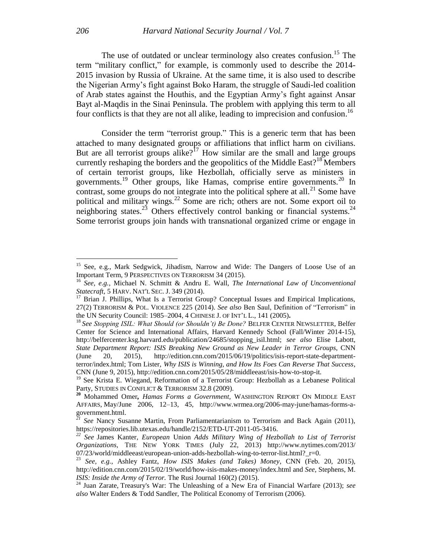The use of outdated or unclear terminology also creates confusion.<sup>15</sup> The term "military conflict," for example, is commonly used to describe the 2014- 2015 invasion by Russia of Ukraine. At the same time, it is also used to describe the Nigerian Army's fight against Boko Haram, the struggle of Saudi-led coalition of Arab states against the Houthis, and the Egyptian Army's fight against Ansar Bayt al-Maqdis in the Sinai Peninsula. The problem with applying this term to all four conflicts is that they are not all alike, leading to imprecision and confusion.<sup>16</sup>

Consider the term "terrorist group." This is a generic term that has been attached to many designated groups or affiliations that inflict harm on civilians. But are all terrorist groups alike?<sup>17</sup> How similar are the small and large groups currently reshaping the borders and the geopolitics of the Middle East?<sup>18</sup> Members of certain terrorist groups, like Hezbollah, officially serve as ministers in governments.<sup>19</sup> Other groups, like Hamas, comprise entire governments.<sup>20</sup> In contrast, some groups do not integrate into the political sphere at all.<sup>21</sup> Some have political and military wings.<sup>22</sup> Some are rich; others are not. Some export oil to neighboring states.<sup>23</sup> Others effectively control banking or financial systems.<sup>24</sup> Some terrorist groups join hands with transnational organized crime or engage in

<sup>&</sup>lt;sup>15</sup> See, e.g., Mark Sedgwick, Jihadism, Narrow and Wide: The Dangers of Loose Use of an Important Term, 9 PERSPECTIVES ON TERRORISM 34 (2015).

<sup>16</sup> *See, e.g.*, Michael N. Schmitt & Andru E. Wall, *The International Law of Unconventional Statecraft*, 5 HARV. NAT'L SEC. J. 349 (2014).

 $17$  Brian J. Phillips, What Is a Terrorist Group? Conceptual Issues and Empirical Implications, 27(2) TERRORISM & POL. VIOLENCE 225 (2014). *See also* Ben Saul, Definition of "Terrorism" in the UN Security Council: 1985–2004, 4 CHINESE J. OF INT'L L., 141 (2005)**.**

<sup>18</sup> *See Stopping ISIL: What Should (or Shouldn't) Be Done?* BELFER CENTER NEWSLETTER*,* Belfer Center for Science and International Affairs, Harvard Kennedy School (Fall/Winter 2014-15), http://belfercenter.ksg.harvard.edu/publication/24685/stopping\_isil.html; *see also* Elise Labott, *State Department Report: ISIS Breaking New Ground as New Leader in Terror Groups*, CNN (June 20, 2015), http://edition.cnn.com/2015/06/19/politics/isis-report-state-departmentterror/index.html; Tom Lister, *Why ISIS is Winning, and How Its Foes Can Reverse That Success*, CNN (June 9, 2015), http://edition.cnn.com/2015/05/28/middleeast/isis-how-to-stop-it.

<sup>&</sup>lt;sup>19</sup> See Krista E. Wiegand, Reformation of a Terrorist Group: Hezbollah as a Lebanese Political Party, STUDIES IN CONFLICT & TERRORISM 32.8 (2009).

**<sup>20</sup>** Mohammed Omer*, Hamas Forms a Government,* WASHINGTON REPORT ON MIDDLE EAST AFFAIRS, May/June 2006, 12–13, 45, http://www.wrmea.org/2006-may-june/hamas-forms-agovernment.html.

*<sup>21</sup> See* Nancy Susanne Martin, From Parliamentarianism to Terrorism and Back Again (2011), https://repositories.lib.utexas.edu/handle/2152/ETD-UT-2011-05-3416.

*<sup>22</sup> See* [James Kanter,](http://topics.nytimes.com/top/reference/timestopics/people/k/james_kanter/index.html) *European* Union *Adds Military Wing of Hezbollah to List of Terrorist Organizations,* THE NEW YORK TIMES (July 22, 2013) http://www.nytimes.com/2013/ 07/23/world/middleeast/european-union-adds-hezbollah-wing-to-terror-list.html?\_r=0.

<sup>23</sup> *See, e.g.*, Ashley Fantz, *How ISIS Makes (and Takes) Money*, CNN (Feb. 20, 2015), http://edition.cnn.com/2015/02/19/world/how-isis-makes-money/index.html and *See,* Stephens, M. *ISIS: Inside the Army of Terror.* The Rusi Journal 160(2) (2015).

<sup>24</sup> Juan Zarate, Treasury's War: The Unleashing of a New Era of Financial Warfare (2013); *see also* Walter Enders & Todd Sandler, The Political Economy of Terrorism (2006).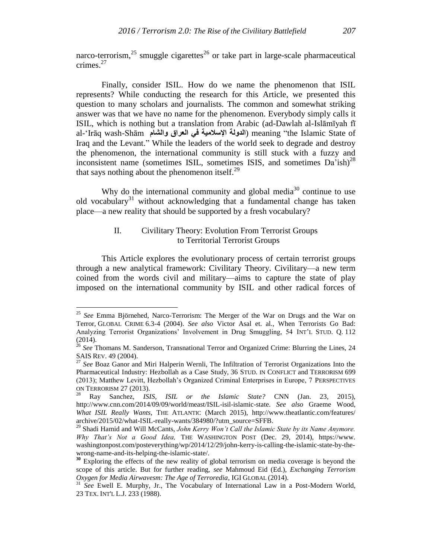narco-terrorism,<sup>25</sup> smuggle cigarettes<sup>26</sup> or take part in large-scale pharmaceutical crimes.<sup>27</sup>

Finally, consider ISIL. How do we name the phenomenon that ISIL represents? While conducting the research for this Article, we presented this question to many scholars and journalists. The common and somewhat striking answer was that we have no name for the phenomenon. Everybody simply calls it ISIL, which is nothing but a translation from Arabic (ad-Dawlah al-Islāmīyah fī al-'Irāq wash-Shām **والشام العراق في اإلسالمية الدولة** (meaning "the Islamic State of Iraq and the Levant." While the leaders of the world seek to degrade and destroy the phenomenon, the international community is still stuck with a fuzzy and inconsistent name (sometimes ISIL, sometimes ISIS, and sometimes  $Da'ish$ )<sup>28</sup> that says nothing about the phenomenon itself. $^{29}$ 

Why do the international community and global media<sup>30</sup> continue to use old vocabulary<sup>31</sup> without acknowledging that a fundamental change has taken place—a new reality that should be supported by a fresh vocabulary?

# II. Civilitary Theory: Evolution From Terrorist Groups to Territorial Terrorist Groups

This Article explores the evolutionary process of certain terrorist groups through a new analytical framework: Civilitary Theory. Civilitary—a new term coined from the words civil and military—aims to capture the state of play imposed on the international community by ISIL and other radical forces of

<sup>25</sup> *See* Emma Björnehed, Narco-Terrorism: The Merger of the War on Drugs and the War on Terror, GLOBAL CRIME 6.3-4 (2004). *See also* Victor Asal et. al., When Terrorists Go Bad: Analyzing Terrorist Organizations' Involvement in Drug Smuggling, 54 INT'L STUD. Q. 112 (2014).

<sup>&</sup>lt;sup>26</sup> See Thomans M. Sanderson, Transnational Terror and Organized Crime: Blurring the Lines, 24 SAIS REV. 49 (2004).

<sup>27</sup> *See* Boaz Ganor and Miri Halperin Wernli, The Infiltration of Terrorist Organizations Into the Pharmaceutical Industry: Hezbollah as a Case Study, 36 STUD. IN CONFLICT and TERRORISM 699 (2013); Matthew Levitt, Hezbollah's Organized Criminal Enterprises in Europe, 7 PERSPECTIVES ON TERRORISM 27 (2013).

<sup>28</sup> Ray Sanchez, *ISIS, ISIL or the Islamic State?* CNN (Jan. 23, 2015), http://www.cnn.com/2014/09/09/world/meast/ISIL-isil-islamic-state. *See also* Graeme Wood, *What ISIL Really Wants*, THE ATLANTIC (March 2015), http://www.theatlantic.com/features/ archive/2015/02/what-ISIL-really-wants/384980/?utm\_source=SFFB.

<sup>29</sup> Shadi Hamid and Will McCants, *John Kerry Won't Call the Islamic State by its Name Anymore. Why That's Not a Good Idea,* THE WASHINGTON POST (Dec. 29, 2014), https://www. washingtonpost.com/posteverything/wp/2014/12/29/john-kerry-is-calling-the-islamic-state-by-thewrong-name-and-its-helping-the-islamic-state/.

**<sup>30</sup>** Exploring the effects of the new reality of global terrorism on media coverage is beyond the scope of this article. But for further reading, *see* Mahmoud Eid (Ed.), *Exchanging Terrorism Oxygen for Media Airwavesm: The Age of Terroredia*, IGI GLOBAL (2014).

<sup>&</sup>lt;sup>31</sup> See Ewell E. Murphy, Jr., The Vocabulary of International Law in a Post-Modern World, 23 TEX. INT'L L.J. 233 (1988).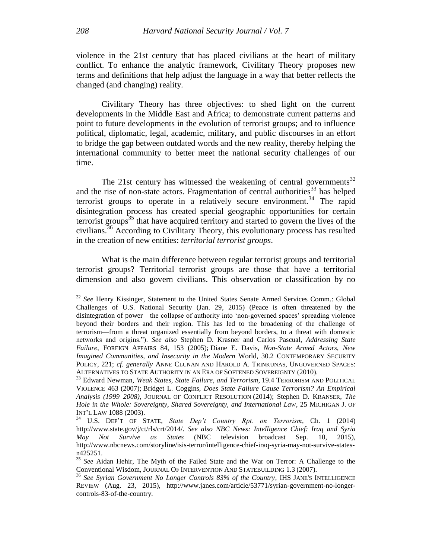violence in the 21st century that has placed civilians at the heart of military conflict. To enhance the analytic framework, Civilitary Theory proposes new terms and definitions that help adjust the language in a way that better reflects the changed (and changing) reality.

Civilitary Theory has three objectives: to shed light on the current developments in the Middle East and Africa; to demonstrate current patterns and point to future developments in the evolution of terrorist groups; and to influence political, diplomatic, legal, academic, military, and public discourses in an effort to bridge the gap between outdated words and the new reality, thereby helping the international community to better meet the national security challenges of our time.

The 21st century has witnessed the weakening of central governments<sup>32</sup> and the rise of non-state actors. Fragmentation of central authorities<sup>33</sup> has helped terrorist groups to operate in a relatively secure environment.<sup>34</sup> The rapid disintegration process has created special geographic opportunities for certain terrorist groups<sup>35</sup> that have acquired territory and started to govern the lives of the civilians.<sup>36</sup> According to Civilitary Theory, this evolutionary process has resulted in the creation of new entities: *territorial terrorist groups*.

What is the main difference between regular terrorist groups and territorial terrorist groups? Territorial terrorist groups are those that have a territorial dimension and also govern civilians. This observation or classification by no

<sup>&</sup>lt;sup>32</sup> See Henry Kissinger, Statement to the United States Senate Armed Services Comm.: Global Challenges of U.S. National Security (Jan. 29, 2015) (Peace is often threatened by the disintegration of power—the collapse of authority into 'non-governed spaces' spreading violence beyond their borders and their region. This has led to the broadening of the challenge of terrorism—from a threat organized essentially from beyond borders, to a threat with domestic networks and origins."). *See also* Stephen D. Krasner and Carlos Pascual, *Addressing State Failure*, FOREIGN AFFAIRS 84, 153 (2005); Diane E. Davis*, Non-State Armed Actors, New Imagined Communities, and Insecurity in the Modern* World, 30.2 CONTEMPORARY SECURITY POLICY, 221; *cf. generally* ANNE CLUNAN AND HAROLD A. TRINKUNAS, UNGOVERNED SPACES: ALTERNATIVES TO STATE AUTHORITY IN AN ERA OF SOFTENED SOVEREIGNTY (2010).

<sup>33</sup> Edward Newman*, Weak States, State Failure, and Terrorism*, 19.4 TERRORISM AND POLITICAL VIOLENCE 463 (2007); Bridget L. Coggins, *Does State Failure Cause Terrorism? An Empirical Analysis (1999–2008)*, JOURNAL OF CONFLICT RESOLUTION (2014); Stephen D. KRANSER, *The Hole in the Whole: Sovereignty, Shared Sovereignty, and International Law*, 25 MICHIGAN J. OF INT'L LAW 1088 (2003).

<sup>34</sup> U.S. DEP'T OF STATE, *State Dep't Country Rpt. on Terrorism*, Ch. 1 (2014) http://www.state.gov/j/ct/rls/crt/2014/. *See also NBC News: Intelligence Chief: Iraq and Syria May Not Survive as States* (NBC television broadcast Sep. 10, 2015), http://www.nbcnews.com/storyline/isis-terror/intelligence-chief-iraq-syria-may-not-survive-statesn425251.

<sup>35</sup> *See* Aidan Hehir, The Myth of the Failed State and the War on Terror: A Challenge to the Conventional Wisdom, JOURNAL OF INTERVENTION AND STATEBUILDING 1.3 (2007).

<sup>36</sup> *See Syrian Government No Longer Controls 83% of the Country*, IHS JANE'S INTELLIGENCE REVIEW (Aug. 23, 2015), http://www.janes.com/article/53771/syrian-government-no-longercontrols-83-of-the-country.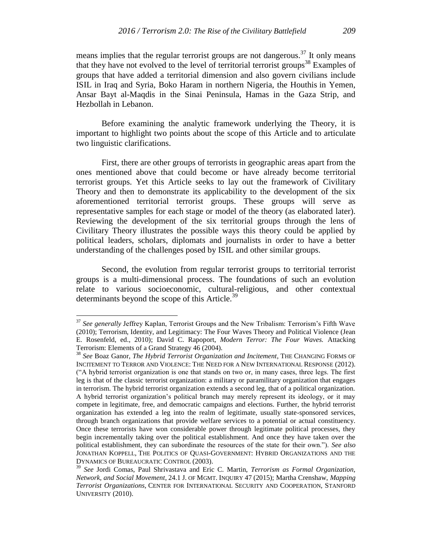means implies that the regular terrorist groups are not dangerous.<sup>37</sup> It only means that they have not evolved to the level of territorial terrorist groups<sup>38</sup> Examples of groups that have added a territorial dimension and also govern civilians include ISIL in Iraq and Syria, Boko Haram in northern Nigeria, the Houthis in Yemen, Ansar Bayt al-Maqdis in the Sinai Peninsula, Hamas in the Gaza Strip, and Hezbollah in Lebanon.

Before examining the analytic framework underlying the Theory, it is important to highlight two points about the scope of this Article and to articulate two linguistic clarifications.

First, there are other groups of terrorists in geographic areas apart from the ones mentioned above that could become or have already become territorial terrorist groups. Yet this Article seeks to lay out the framework of Civilitary Theory and then to demonstrate its applicability to the development of the six aforementioned territorial terrorist groups. These groups will serve as representative samples for each stage or model of the theory (as elaborated later). Reviewing the development of the six territorial groups through the lens of Civilitary Theory illustrates the possible ways this theory could be applied by political leaders, scholars, diplomats and journalists in order to have a better understanding of the challenges posed by ISIL and other similar groups.

Second, the evolution from regular terrorist groups to territorial terrorist groups is a multi-dimensional process. The foundations of such an evolution relate to various socioeconomic, cultural-religious, and other contextual determinants beyond the scope of this Article.<sup>39</sup>

<sup>37</sup> *See generally* Jeffrey Kaplan, Terrorist Groups and the New Tribalism: Terrorism's Fifth Wave (2010); Terrorism, Identity, and Legitimacy: The Four Waves Theory and Political Violence (Jean E. Rosenfeld, ed., 2010); David C. Rapoport, *Modern Terror: The Four Waves.* Attacking Terrorism: Elements of a Grand Strategy 46 (2004).

<sup>38</sup> *See* Boaz Ganor, *The Hybrid Terrorist Organization and Incitement*, THE CHANGING FORMS OF INCITEMENT TO TERROR AND VIOLENCE: THE NEED FOR A NEW INTERNATIONAL RESPONSE (2012). ("A hybrid terrorist organization is one that stands on two or, in many cases, three legs. The first leg is that of the classic terrorist organization: a military or paramilitary organization that engages in terrorism. The hybrid terrorist organization extends a second leg, that of a political organization. A hybrid terrorist organization's political branch may merely represent its ideology, or it may compete in legitimate, free, and democratic campaigns and elections. Further, the hybrid terrorist organization has extended a leg into the realm of legitimate, usually state-sponsored services, through branch organizations that provide welfare services to a potential or actual constituency. Once these terrorists have won considerable power through legitimate political processes, they begin incrementally taking over the political establishment. And once they have taken over the political establishment, they can subordinate the resources of the state for their own."). *See also* JONATHAN KOPPELL, THE POLITICS OF QUASI-GOVERNMENT: HYBRID ORGANIZATIONS AND THE DYNAMICS OF BUREAUCRATIC CONTROL (2003).

<sup>39</sup> *See* Jordi Comas, Paul Shrivastava and Eric C. Martin, *Terrorism as Formal Organization, Network, and Social Movement*, 24.1 J. OF MGMT. INQUIRY 47 (2015); Martha Crenshaw, *Mapping Terrorist Organizations,* CENTER FOR INTERNATIONAL SECURITY AND COOPERATION, STANFORD UNIVERSITY (2010).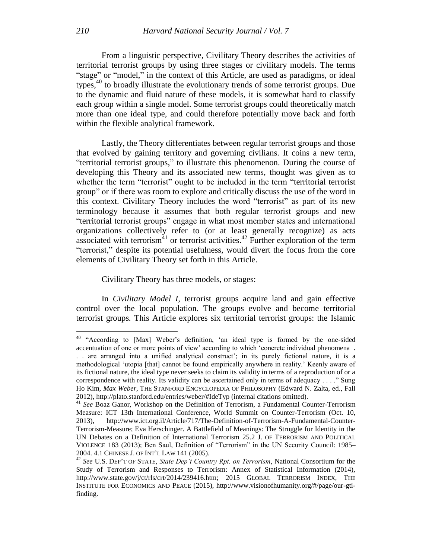From a linguistic perspective, Civilitary Theory describes the activities of territorial terrorist groups by using three stages or civilitary models. The terms "stage" or "model," in the context of this Article, are used as paradigms, or ideal types,<sup>40</sup> to broadly illustrate the evolutionary trends of some terrorist groups. Due to the dynamic and fluid nature of these models, it is somewhat hard to classify each group within a single model. Some terrorist groups could theoretically match more than one ideal type, and could therefore potentially move back and forth within the flexible analytical framework.

Lastly, the Theory differentiates between regular terrorist groups and those that evolved by gaining territory and governing civilians. It coins a new term, "territorial terrorist groups," to illustrate this phenomenon. During the course of developing this Theory and its associated new terms, thought was given as to whether the term "terrorist" ought to be included in the term "territorial terrorist group" or if there was room to explore and critically discuss the use of the word in this context. Civilitary Theory includes the word "terrorist" as part of its new terminology because it assumes that both regular terrorist groups and new "territorial terrorist groups" engage in what most member states and international organizations collectively refer to (or at least generally recognize) as acts associated with terrorism<sup>41</sup> or terrorist activities.<sup>42</sup> Further exploration of the term "terrorist," despite its potential usefulness, would divert the focus from the core elements of Civilitary Theory set forth in this Article.

Civilitary Theory has three models, or stages:

In *Civilitary Model I,* terrorist groups acquire land and gain effective control over the local population. The groups evolve and become territorial terrorist groups*.* This Article explores six territorial terrorist groups: the Islamic

<sup>&</sup>lt;sup>40</sup> "According to [Max] Weber's definition, 'an ideal type is formed by the one-sided accentuation of one or more points of view' according to which 'concrete individual phenomena . . . are arranged into a unified analytical construct'; in its purely fictional nature, it is a methodological 'utopia [that] cannot be found empirically anywhere in reality.' Keenly aware of its fictional nature, the ideal type never seeks to claim its validity in terms of a reproduction of or a correspondence with reality. Its validity can be ascertained only in terms of adequacy . . . ." Sung Ho Kim*, Max Weber*, THE STANFORD ENCYCLOPEDIA OF PHILOSOPHY (Edward N. Zalta, ed., Fall 2012), http://plato.stanford.edu/entries/weber/#IdeTyp (internal citations omitted).

<sup>41</sup> *See* Boaz Ganor, Workshop on the Definition of Terrorism, a Fundamental Counter-Terrorism Measure: ICT 13th International Conference, World Summit on Counter-Terrorism (Oct. 10, 2013), http://www.ict.org.il/Article/717/The-Definition-of-Terrorism-A-Fundamental-Counter-Terrorism-Measure; Eva Herschinger. A Battlefield of Meanings: The Struggle for Identity in the UN Debates on a Definition of International Terrorism 25.2 J. OF TERRORISM AND POLITICAL VIOLENCE 183 (2013); Ben Saul, Definition of "Terrorism" in the UN Security Council: 1985– 2004. 4.1 CHINESE J. OF INT'L LAW 141 (2005).

<sup>42</sup> *See* U.S. DEP'T OF STATE, *State Dep't Country Rpt. on Terrorism*, National Consortium for the Study of Terrorism and Responses to Terrorism: Annex of Statistical Information (2014), http://www.state.gov/j/ct/rls/crt/2014/239416.htm; 2015 GLOBAL TERRORISM INDEX, THE INSTITUTE FOR ECONOMICS AND PEACE (2015), http://www.visionofhumanity.org/#/page/our-gtifinding.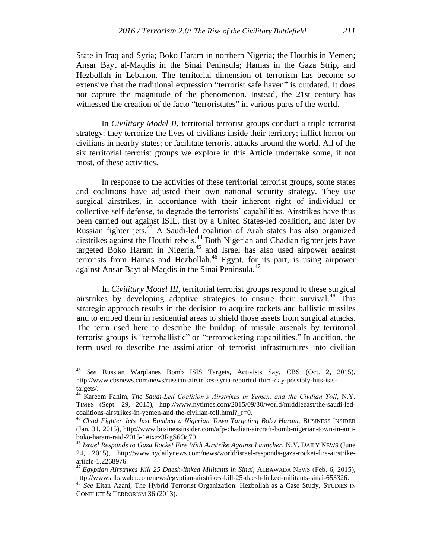State in Iraq and Syria; Boko Haram in northern Nigeria; the Houthis in Yemen; Ansar Bayt al-Maqdis in the Sinai Peninsula; Hamas in the Gaza Strip, and Hezbollah in Lebanon. The territorial dimension of terrorism has become so extensive that the traditional expression "terrorist safe haven" is outdated. It does not capture the magnitude of the phenomenon. Instead, the 21st century has witnessed the creation of de facto "terroristates" in various parts of the world.

In *Civilitary Model II,* territorial terrorist groups conduct a triple terrorist strategy: they terrorize the lives of civilians inside their territory; inflict horror on civilians in nearby states; or facilitate terrorist attacks around the world. All of the six territorial terrorist groups we explore in this Article undertake some, if not most, of these activities.

In response to the activities of these territorial terrorist groups, some states and coalitions have adjusted their own national security strategy. They use surgical airstrikes, in accordance with their inherent right of individual or collective self-defense, to degrade the terrorists' capabilities. Airstrikes have thus been carried out against ISIL, first by a United States-led coalition, and later by Russian fighter jets.<sup>43</sup> A Saudi-led coalition of Arab states has also organized airstrikes against the Houthi rebels. <sup>44</sup> Both Nigerian and Chadian fighter jets have targeted Boko Haram in Nigeria,<sup>45</sup> and Israel has also used airpower against terrorists from Hamas and Hezbollah. <sup>46</sup> Egypt, for its part, is using airpower against Ansar Bayt al-Maqdis in the Sinai Peninsula.<sup>47</sup>

In *Civilitary Model III,* territorial terrorist groups respond to these surgical airstrikes by developing adaptive strategies to ensure their survival.<sup>48</sup> This strategic approach results in the decision to acquire rockets and ballistic missiles and to embed them in residential areas to shield those assets from surgical attacks. The term used here to describe the buildup of missile arsenals by territorial terrorist groups is "terroballistic" or *"*terrorocketing capabilities." In addition, the term used to describe the assimilation of terrorist infrastructures into civilian

<sup>43</sup> *See* Russian Warplanes Bomb ISIS Targets, Activists Say, CBS (Oct. 2, 2015), http://www.cbsnews.com/news/russian-airstrikes-syria-reported-third-day-possibly-hits-isistargets/.

<sup>44</sup> Kareem Fahim, *The Saudi-Led Coalition's Airstrikes in Yemen, and the Civilian Toll*, N.Y. TIMES (Sept. 29, 2015), http://www.nytimes.com/2015/09/30/world/middleeast/the-saudi-ledcoalitions-airstrikes-in-yemen-and-the-civilian-toll.html?\_r=0.

<sup>45</sup> *Chad Fighter Jets Just Bombed a Nigerian Town Targeting Boko Haram*, BUSINESS INSIDER (Jan. 31, 2015), http://www.businessinsider.com/afp-chadian-aircraft-bomb-nigerian-town-in-antiboko-haram-raid-2015-1#ixzz3RgS6Oq79.

<sup>46</sup> *Israel Responds to Gaza Rocket Fire With Airstrike Against Launcher*, N.Y. DAILY NEWS (June 24, 2015), http://www.nydailynews.com/news/world/israel-responds-gaza-rocket-fire-airstrikearticle-1.2268976.

<sup>47</sup> *Egyptian Airstrikes Kill 25 Daesh-linked Militants in Sinai*, ALBAWADA NEWS (Feb. 6, 2015), http://www.albawaba.com/news/egyptian-airstrikes-kill-25-daesh-linked-militants-sinai-653326.

<sup>&</sup>lt;sup>48</sup> See Eitan Azani, The Hybrid Terrorist Organization: Hezbollah as a Case Study, STUDIES IN CONFLICT & TERRORISM 36 (2013).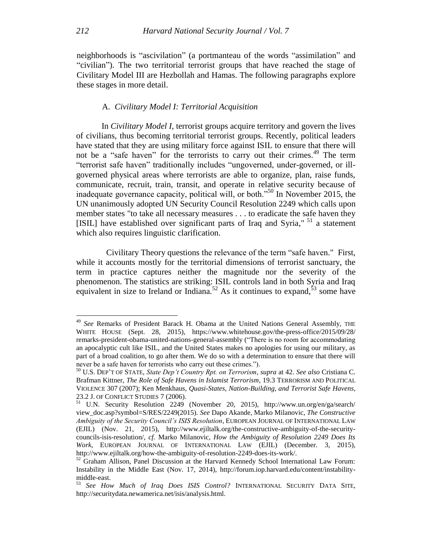neighborhoods is "ascivilation" (a portmanteau of the words "assimilation" and "civilian"). The two territorial terrorist groups that have reached the stage of Civilitary Model III are Hezbollah and Hamas. The following paragraphs explore these stages in more detail.

## A. *Civilitary Model I: Territorial Acquisition*

In *Civilitary Model I,* terrorist groups acquire territory and govern the lives of civilians, thus becoming territorial terrorist groups. Recently, political leaders have stated that they are using military force against ISIL to ensure that there will not be a "safe haven" for the terrorists to carry out their crimes.<sup>49</sup> The term "terrorist safe haven" traditionally includes "ungoverned, under-governed, or illgoverned physical areas where terrorists are able to organize, plan, raise funds, communicate, recruit, train, transit, and operate in relative security because of inadequate governance capacity, political will, or both."<sup>50</sup> In November 2015, the UN unanimously adopted UN Security Council Resolution 2249 which calls upon member states "to take all necessary measures . . . to eradicate the safe haven they [ISIL] have established over significant parts of Iraq and Syria," <sup>51</sup> a statement which also requires linguistic clarification.

Civilitary Theory questions the relevance of the term "safe haven." First, while it accounts mostly for the territorial dimensions of terrorist sanctuary, the term in practice captures neither the magnitude nor the severity of the phenomenon. The statistics are striking: ISIL controls land in both Syria and Iraq equivalent in size to Ireland or Indiana.<sup>52</sup> As it continues to expand,<sup>53</sup> some have

<sup>49</sup> *See* Remarks of President Barack H. Obama at the United Nations General Assembly, THE WHITE HOUSE (Sept. 28, 2015), https://www.whitehouse.gov/the-press-office/2015/09/28/ remarks-president-obama-united-nations-general-assembly ("There is no room for accommodating an apocalyptic cult like ISIL, and the United States makes no apologies for using our military, as part of a broad coalition, to go after them. We do so with a determination to ensure that there will never be a safe haven for terrorists who carry out these crimes.").

<sup>50</sup> U.S. DEP'T OF STATE, *State Dep't Country Rpt. on Terrorism*, *supra* at 42. *See also* Cristiana C. Brafman Kittner, *The Role of Safe Havens in Islamist Terrorism*, 19.3 TERRORISM AND POLITICAL VIOLENCE 307 (2007); Ken Menkhaus*, Quasi-States, Nation-Building, and Terrorist Safe Havens*, 23.2 J. OF CONFLICT STUDIES 7 (2006).

 $51$  U.N. Security Resolution 2249 (November 20, 2015), http://www.un.org/en/ga/search/ view\_doc.asp?symbol=S/RES/2249(2015). *See* Dapo Akande, Marko Milanovic, *The Constructive Ambiguity of the Security Council's ISIS Resolution*, EUROPEAN JOURNAL OF INTERNATIONAL LAW (EJIL) (Nov. 21, 2015), http://www.ejiltalk.org/the-constructive-ambiguity-of-the-securitycouncils-isis-resolution/, *cf.* Marko Milanovic, *How the Ambiguity of Resolution 2249 Does Its Work,* EUROPEAN JOURNAL OF INTERNATIONAL LAW (EJIL) (December. 3, 2015), http://www.ejiltalk.org/how-the-ambiguity-of-resolution-2249-does-its-work/.

<sup>&</sup>lt;sup>52</sup> Graham Allison, Panel Discussion at the Harvard Kennedy School International Law Forum: Instability in the Middle East (Nov. 17, 2014), http://forum.iop.harvard.edu/content/instabilitymiddle-east.

<sup>53</sup> *See How Much of Iraq Does ISIS Control?* INTERNATIONAL SECURITY DATA SITE, http://securitydata.newamerica.net/isis/analysis.html.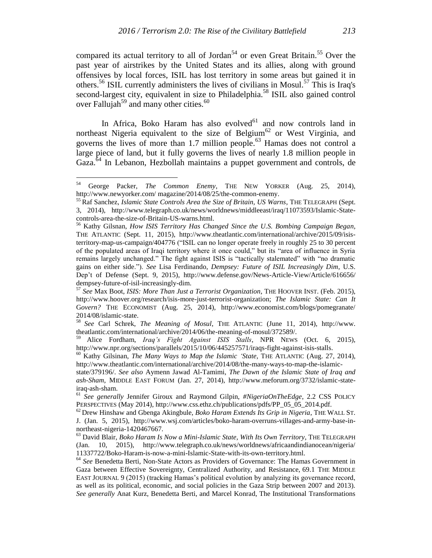compared its actual territory to all of Jordan<sup>54</sup> or even Great Britain.<sup>55</sup> Over the past year of airstrikes by the United States and its allies, along with ground offensives by local forces, ISIL has lost territory in some areas but gained it in others.<sup>56</sup> ISIL currently administers the lives of civilians in Mosul.<sup>57</sup> This is Iraq's second-largest city, equivalent in size to Philadelphia.<sup>58</sup> ISIL also gained control over Fallujah<sup>59</sup> and many other cities.<sup>60</sup>

In Africa, Boko Haram has also evolved<sup>61</sup> and now controls land in northeast Nigeria equivalent to the size of Belgium<sup>62</sup> or West Virginia, and governs the lives of more than 1.7 million people.<sup>63</sup> Hamas does not control a large piece of land, but it fully governs the lives of nearly 1.8 million people in Gaza.<sup>64</sup> In Lebanon, Hezbollah maintains a puppet government and controls, de

<sup>54</sup> George Packer, *The Common Enemy*, THE NEW YORKER (Aug. 25, 2014), http://www.newyorker.com/ magazine/2014/08/25/the-common-enemy.

<sup>55</sup> Raf Sanchez, *Islamic State Controls Area the Size of Britain, US Warns*, THE TELEGRAPH (Sept. 3, 2014), http://www.telegraph.co.uk/news/worldnews/middleeast/iraq/11073593/Islamic-Statecontrols-area-the-size-of-Britain-US-warns.html.

<sup>56</sup> Kathy Gilsnan, *How ISIS Territory Has Changed Since the U.S. Bombing Campaign Began,*  THE ATLANTIC (Sept. 11, 2015), http://www.theatlantic.com/international/archive/2015/09/isisterritory-map-us-campaign/404776 ("ISIL can no longer operate freely in roughly 25 to 30 percent of the populated areas of Iraqi territory where it once could," but its "area of influence in Syria remains largely unchanged." The fight against ISIS is "tactically stalemated" with "no dramatic gains on either side."). *See* Lisa Ferdinando, *Dempsey: Future of ISIL Increasingly Dim*, U.S. Dep't of Defense (Sept. 9, 2015), http://www.defense.gov/News-Article-View/Article/616656/ dempsey-future-of-isil-increasingly-dim.

<sup>57</sup> *See* Max Boot, *ISIS: More Than Just a Terrorist Organization*, THE HOOVER INST. (Feb. 2015), http://www.hoover.org/research/isis-more-just-terrorist-organization; *The Islamic State: Can It* G*overn?* THE ECONOMIST (Aug. 25, 2014), http://www.economist.com/blogs/pomegranate/ 2014/08/islamic-state.

<sup>58</sup> *See* Carl Schrek, *The Meaning of Mosul*, THE ATLANTIC (June 11, 2014), http://www. theatlantic.com/international/archive/2014/06/the-meaning-of-mosul/372589/.

<sup>59</sup> Alice Fordham, *Iraq's Fight Against ISIS Stalls*, NPR NEWS (Oct. 6, 2015), http://www.npr.org/sections/parallels/2015/10/06/445257571/iraqs-fight-against-isis-stalls.

<sup>60</sup> Kathy Gilsinan, *The Many Ways to Map the Islamic 'State*, THE ATLANTIC (Aug. 27, 2014), http://www.theatlantic.com/international/archive/2014/08/the-many-ways-to-map-the-islamic-

state/379196/. *See also* Aymenn Jawad Al-Tamimi, *The Dawn of the Islamic State of Iraq and ash-Sham*, MIDDLE EAST FORUM (Jan. 27, 2014), http://www.meforum.org/3732/islamic-stateiraq-ash-sham.

<sup>61</sup> *See generally* Jennifer Giroux and Raymond Gilpin, *#NigeriaOnTheEdge*, 2.2 CSS POLICY PERSPECTIVES (May 2014), http://www.css.ethz.ch/publications/pdfs/PP\_05\_05\_2014.pdf.

<sup>62</sup> Drew Hinshaw and Gbenga Akingbule, *Boko Haram Extends Its Grip in Nigeria*, THE WALL ST. J. (Jan. 5, 2015), http://www.wsj.com/articles/boko-haram-overruns-villages-and-army-base-innortheast-nigeria-1420467667.

<sup>63</sup> David Blair, *Boko Haram Is Now a Mini-Islamic State, With Its Own Territory*, THE TELEGRAPH (Jan. 10, 2015), http://www.telegraph.co.uk/news/worldnews/africaandindianocean/nigeria/ 11337722/Boko-Haram-is-now-a-mini-Islamic-State-with-its-own-territory.html.

<sup>64</sup> *See* Benedetta Berti, Non-State Actors as Providers of Governance: The Hamas Government in Gaza between Effective Sovereignty, Centralized Authority, and Resistance, 69.1 THE MIDDLE EAST JOURNAL 9 (2015) (tracking Hamas's political evolution by analyzing its governance record, as well as its political, economic, and social policies in the Gaza Strip between 2007 and 2013). *See generally* Anat Kurz, Benedetta Berti, and Marcel Konrad, The Institutional Transformations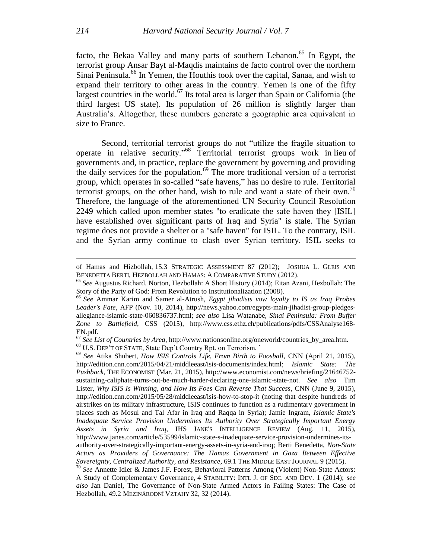facto, the Bekaa Valley and many parts of southern Lebanon.<sup>65</sup> In Egypt, the terrorist group Ansar Bayt al-Maqdis maintains de facto control over the northern Sinai Peninsula.<sup>66</sup> In Yemen, the Houthis took over the capital, Sanaa, and wish to expand their territory to other areas in the country. Yemen is one of the fifty largest countries in the world.<sup>67</sup> Its total area is larger than Spain or California (the third largest US state). Its population of 26 million is slightly larger than Australia's. Altogether, these numbers generate a geographic area equivalent in size to France.

Second, territorial terrorist groups do not "utilize the fragile situation to operate in relative security." <sup>68</sup> Territorial terrorist groups work in lieu of governments and, in practice, replace the government by governing and providing the daily services for the population. <sup>69</sup> The more traditional version of a terrorist group, which operates in so-called "safe havens," has no desire to rule. Territorial terrorist groups, on the other hand, wish to rule and want a state of their own.<sup>70</sup> Therefore, the language of the aforementioned UN Security Council Resolution 2249 which called upon member states "to eradicate the safe haven they [ISIL] have established over significant parts of Iraq and Syria" is stale. The Syrian regime does not provide a shelter or a "safe haven" for ISIL. To the contrary, ISIL and the Syrian army continue to clash over Syrian territory. ISIL seeks to

of Hamas and Hizbollah, 15.3 STRATEGIC ASSESSMENT 87 (2012); JOSHUA L. GLEIS AND BENEDETTA BERTI, HEZBOLLAH AND HAMAS: A COMPARATIVE STUDY (2012).

<sup>65</sup> *See* Augustus Richard. Norton, Hezbollah: A Short History (2014); Eitan Azani, Hezbollah: The Story of the Party of God: From Revolution to Institutionalization (2008).

<sup>66</sup> *See* Ammar Karim and Samer al-Atrush, *Egypt jihadists vow loyalty to IS as Iraq Probes Leader's Fate*, AFP (Nov. 10, 2014), http://news.yahoo.com/egypts-main-jihadist-group-pledgesallegiance-islamic-state-060836737.html; *see also* Lisa Watanabe, *Sinai Peninsula: From Buffer*  Zone to Battlefield, CSS (2015), http://www.css.ethz.ch/publications/pdfs/CSSAnalyse168-EN.pdf.

<sup>67</sup> *See List of Countries by Area*, http://www.nationsonline.org/oneworld/countries\_by\_area.htm. <sup>68</sup> U.S. DEP'T OF STATE, State Dep't Country Rpt. on Terrorism, `

<sup>69</sup> *See* Atika Shubert, *How ISIS Controls Life, From Birth to Foosball*, CNN (April 21, 2015), http://edition.cnn.com/2015/04/21/middleeast/isis-documents/index.html; *Islamic State: The Pushback*, THE ECONOMIST (Mar. 21, 2015), http://www.economist.com/news/briefing/21646752 sustaining-caliphate-turns-out-be-much-harder-declaring-one-islamic-state-not. *See also* Tim Lister, *Why ISIS Is Winning, and How Its Foes Can Reverse That Success*, CNN (June 9, 2015), http://edition.cnn.com/2015/05/28/middleeast/isis-how-to-stop-it (noting that despite hundreds of airstrikes on its military infrastructure, ISIS continues to function as a rudimentary government in places such as Mosul and Tal Afar in Iraq and Raqqa in Syria); Jamie Ingram, *Islamic State's Inadequate Service Provision Undermines Its Authority Over Strategically Important Energy Assets in Syria and Iraq*, IHS JANE'S INTELLIGENCE REVIEW (Aug. 11, 2015), http://www.janes.com/article/53599/islamic-state-s-inadequate-service-provision-undermines-itsauthority-over-strategically-important-energy-assets-in-syria-and-iraq; Berti Benedetta, *Non-State Actors as Providers of Governance: The Hamas Government in Gaza Between Effective Sovereignty, Centralized Authority, and Resistance*, 69.1 THE MIDDLE EAST JOURNAL 9 (2015).

<sup>70</sup> *See* Annette Idler & James J.F. Forest, Behavioral Patterns Among (Violent) Non-State Actors: A Study of Complementary Governance, 4 STABILITY: INTL J. OF SEC. AND DEV. 1 (2014); *see also* Jan Daniel, The Governance of Non-State Armed Actors in Failing States: The Case of Hezbollah, 49.2 MEZINÁRODNÍ VZTAHY 32, 32 (2014).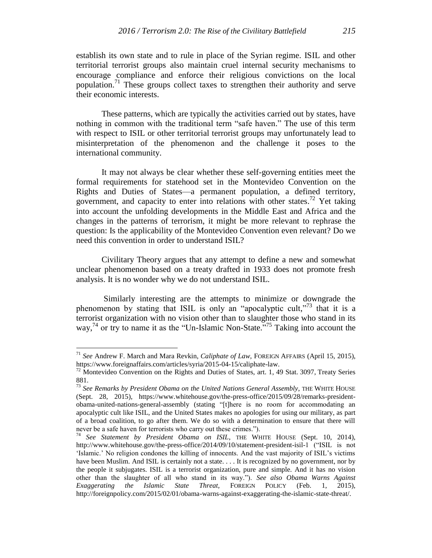establish its own state and to rule in place of the Syrian regime. ISIL and other territorial terrorist groups also maintain cruel internal security mechanisms to encourage compliance and enforce their religious convictions on the local population.<sup>71</sup> These groups collect taxes to strengthen their authority and serve their economic interests.

These patterns, which are typically the activities carried out by states, have nothing in common with the traditional term "safe haven." The use of this term with respect to ISIL or other territorial terrorist groups may unfortunately lead to misinterpretation of the phenomenon and the challenge it poses to the international community.

It may not always be clear whether these self-governing entities meet the formal requirements for statehood set in the Montevideo Convention on the Rights and Duties of States—a permanent population, a defined territory, government, and capacity to enter into relations with other states.<sup>72</sup> Yet taking into account the unfolding developments in the Middle East and Africa and the changes in the patterns of terrorism, it might be more relevant to rephrase the question: Is the applicability of the Montevideo Convention even relevant? Do we need this convention in order to understand ISIL?

Civilitary Theory argues that any attempt to define a new and somewhat unclear phenomenon based on a treaty drafted in 1933 does not promote fresh analysis. It is no wonder why we do not understand ISIL.

Similarly interesting are the attempts to minimize or downgrade the phenomenon by stating that ISIL is only an "apocalyptic cult,"<sup>73</sup> that it is a terrorist organization with no vision other than to slaughter those who stand in its way,<sup>74</sup> or try to name it as the "Un-Islamic Non-State."<sup>75</sup> Taking into account the

<sup>71</sup> *See* Andrew F. March and Mara Revkin, *Caliphate of Law*, FOREIGN AFFAIRS (April 15, 2015), https://www.foreignaffairs.com/articles/syria/2015-04-15/caliphate-law.

 $72$  Montevideo Convention on the Rights and Duties of States, art. 1, 49 Stat. 3097, Treaty Series 881.

<sup>73</sup> *See Remarks by President Obama on the United Nations General Assembly*, THE WHITE HOUSE (Sept. 28, 2015), https://www.whitehouse.gov/the-press-office/2015/09/28/remarks-presidentobama-united-nations-general-assembly (stating "[t]here is no room for accommodating an apocalyptic cult like ISIL, and the United States makes no apologies for using our military, as part of a broad coalition, to go after them. We do so with a determination to ensure that there will never be a safe haven for terrorists who carry out these crimes.").

<sup>74</sup> *See Statement by President Obama on ISIL*, THE WHITE HOUSE (Sept. 10, 2014), http://www.whitehouse.gov/the-press-office/2014/09/10/statement-president-isil-1 ("ISIL is not 'Islamic.' No religion condones the killing of innocents. And the vast majority of ISIL's victims have been Muslim. And ISIL is certainly not a state. . . . It is recognized by no government, nor by the people it subjugates. ISIL is a terrorist organization, pure and simple. And it has no vision other than the slaughter of all who stand in its way."). *See also Obama Warns Against Exaggerating the Islamic State Threat,* FOREIGN POLICY (Feb. 1, 2015), http://foreignpolicy.com/2015/02/01/obama-warns-against-exaggerating-the-islamic-state-threat/.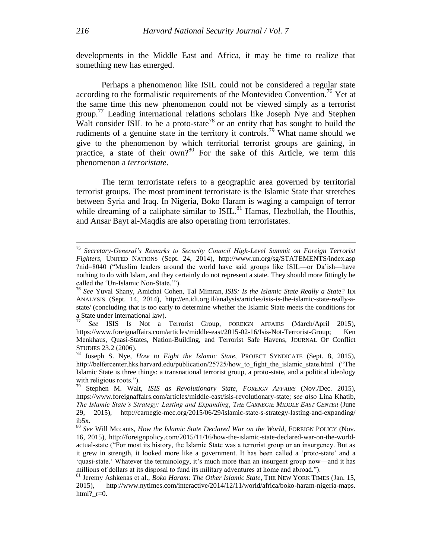developments in the Middle East and Africa, it may be time to realize that something new has emerged.

Perhaps a phenomenon like ISIL could not be considered a regular state according to the formalistic requirements of the Montevideo Convention.<sup>76</sup> Yet at the same time this new phenomenon could not be viewed simply as a terrorist group.<sup>77</sup> Leading international relations scholars like Joseph Nye and Stephen Walt consider ISIL to be a proto-state<sup>78</sup> or an entity that has sought to build the rudiments of a genuine state in the territory it controls.<sup>79</sup> What name should we give to the phenomenon by which territorial terrorist groups are gaining, in practice, a state of their own?<sup>80</sup> For the sake of this Article, we term this phenomenon a *terroristate*.

The term terroristate refers to a geographic area governed by territorial terrorist groups. The most prominent terroristate is the Islamic State that stretches between Syria and Iraq. In Nigeria, Boko Haram is waging a campaign of terror while dreaming of a caliphate similar to  $ISIL$ <sup>81</sup> Hamas, Hezbollah, the Houthis, and Ansar Bayt al-Maqdis are also operating from terroristates.

<sup>75</sup> *Secretary-General's Remarks to Security Council High-Level Summit on Foreign Terrorist Fighters*, UNITED NATIONS (Sept. 24, 2014), http://www.un.org/sg/STATEMENTS/index.asp ?nid=8040 ("Muslim leaders around the world have said groups like ISIL—or Da'ish—have nothing to do with Islam, and they certainly do not represent a state. They should more fittingly be called the 'Un-Islamic Non-State.'").

<sup>76</sup> *See* Yuval Shany, Amichai Cohen, Tal Mimran*, ISIS: Is the Islamic State Really a State*? IDI ANALYSIS (Sept. 14, 2014), http://en.idi.org.il/analysis/articles/isis-is-the-islamic-state-really-astate/ (concluding that is too early to determine whether the Islamic State meets the conditions for a State under international law).

<sup>77</sup> *See* ISIS Is Not a Terrorist Group, FOREIGN AFFAIRS (March/April 2015), https://www.foreignaffairs.com/articles/middle-east/2015-02-16/Isis-Not-Terrorist-Group; Ken Menkhaus, Quasi-States, Nation-Building, and Terrorist Safe Havens, JOURNAL OF Conflict STUDIES 23.2 (2006).

<sup>78</sup> Joseph S. Nye*, How to Fight the Islamic State,* PROJECT SYNDICATE (Sept. 8, 2015), http://belfercenter.hks.harvard.edu/publication/25725/how to fight the islamic state.html ("The Islamic State is three things: a transnational terrorist group, a proto-state, and a political ideology with religious roots.").

<sup>79</sup> Stephen M. Walt, *ISIS as Revolutionary State*, *FOREIGN AFFAIRS* (Nov./Dec. 2015), https://www.foreignaffairs.com/articles/middle-east/isis-revolutionary-state; *see also* Lina Khatib, *The Islamic State's Strategy: Lasting and Expanding*, *THE CARNEGIE MIDDLE EAST CENTER* (June 29, 2015), http://carnegie-mec.org/2015/06/29/islamic-state-s-strategy-lasting-and-expanding/ ib5x.

<sup>80</sup> *See* Will Mccants, *How the Islamic State Declared War on the World,* FOREIGN POLICY (Nov. 16, 2015), http://foreignpolicy.com/2015/11/16/how-the-islamic-state-declared-war-on-the-worldactual-state ("For most its history, the Islamic State was a terrorist group or an insurgency. But as it grew in strength, it looked more like a government. It has been called a 'proto-state' and a 'quasi-state.' Whatever the terminology, it's much more than an insurgent group now—and it has millions of dollars at its disposal to fund its military adventures at home and abroad.").

<sup>81</sup> Jeremy Ashkenas et al., *Boko Haram: The Other Islamic State*, THE NEW YORK TIMES (Jan. 15, 2015), http://www.nytimes.com/interactive/2014/12/11/world/africa/boko-haram-nigeria-maps. html?  $r=0$ .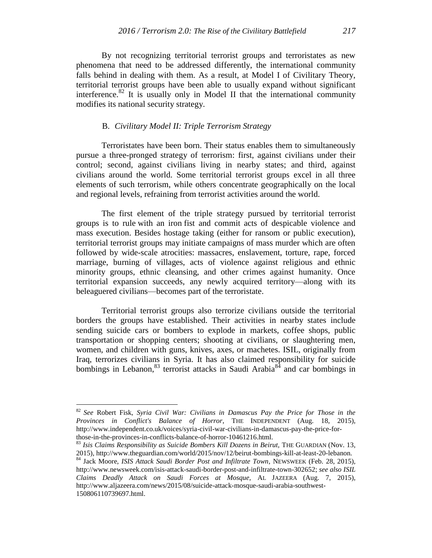By not recognizing territorial terrorist groups and terroristates as new phenomena that need to be addressed differently, the international community falls behind in dealing with them. As a result, at Model I of Civilitary Theory, territorial terrorist groups have been able to usually expand without significant interference. $82$  It is usually only in Model II that the international community modifies its national security strategy.

# B. *Civilitary Model II: Triple Terrorism Strategy*

Terroristates have been born. Their status enables them to simultaneously pursue a three-pronged strategy of terrorism: first, against civilians under their control; second, against civilians living in nearby states; and third, against civilians around the world. Some territorial terrorist groups excel in all three elements of such terrorism, while others concentrate geographically on the local and regional levels, refraining from terrorist activities around the world.

The first element of the triple strategy pursued by territorial terrorist groups is to rule with an iron fist and commit acts of despicable violence and mass execution. Besides hostage taking (either for ransom or public execution), territorial terrorist groups may initiate campaigns of mass murder which are often followed by wide-scale atrocities: massacres, enslavement, torture, rape, forced marriage, burning of villages, acts of violence against religious and ethnic minority groups, ethnic cleansing, and other crimes against humanity. Once territorial expansion succeeds, any newly acquired territory—along with its beleaguered civilians—becomes part of the terroristate.

Territorial terrorist groups also terrorize civilians outside the territorial borders the groups have established. Their activities in nearby states include sending suicide cars or bombers to explode in markets, coffee shops, public transportation or shopping centers; shooting at civilians, or slaughtering men, women, and children with guns, knives, axes, or machetes. ISIL, originally from Iraq, terrorizes civilians in Syria. It has also claimed responsibility for suicide bombings in Lebanon,  $83$  terrorist attacks in Saudi Arabia $84$  and car bombings in

<sup>82</sup> *See* Robert Fisk*, Syria Civil War: Civilians in Damascus Pay the Price for Those in the Provinces in Conflict's Balance of Horror*, THE INDEPENDENT (Aug. 18, 2015), http://www.independent.co.uk/voices/syria-civil-war-civilians-in-damascus-pay-the-price-forthose-in-the-provinces-in-conflicts-balance-of-horror-10461216.html.

<sup>&</sup>lt;sup>83</sup> Isis Claims Responsibility as Suicide Bombers Kill Dozens in Beirut, THE GUARDIAN (Nov. 13, 2015), http://www.theguardian.com/world/2015/nov/12/beirut-bombings-kill-at-least-20-lebanon.

<sup>84</sup> Jack Moore, *ISIS Attack Saudi Border Post and Infiltrate Town*, NEWSWEEK (Feb. 28, 2015), http://www.newsweek.com/isis-attack-saudi-border-post-and-infiltrate-town-302652; *see also ISIL Claims Deadly Attack on Saudi Forces at Mosque,* AL JAZEERA (Aug. 7, 2015), http://www.aljazeera.com/news/2015/08/suicide-attack-mosque-saudi-arabia-southwest-150806110739697.html.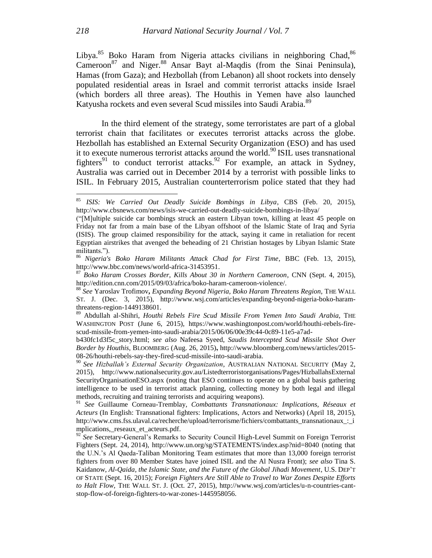Libya.<sup>85</sup> Boko Haram from Nigeria attacks civilians in neighboring Chad, <sup>86</sup> Cameroon<sup>87</sup> and Niger.<sup>88</sup> Ansar Bayt al-Maqdis (from the Sinai Peninsula), Hamas (from Gaza); and Hezbollah (from Lebanon) all shoot rockets into densely populated residential areas in Israel and commit terrorist attacks inside Israel (which borders all three areas). The Houthis in Yemen have also launched Katyusha rockets and even several Scud missiles into Saudi Arabia.<sup>89</sup>

In the third element of the strategy, some terroristates are part of a global terrorist chain that facilitates or executes terrorist attacks across the globe. Hezbollah has established an External Security Organization (ESO) and has used it to execute numerous terrorist attacks around the world.<sup>90</sup> ISIL uses transnational fighters<sup>91</sup> to conduct terrorist attacks.<sup>92</sup> For example, an attack in Sydney, Australia was carried out in December 2014 by a terrorist with possible links to ISIL. In February 2015, Australian counterterrorism police stated that they had

<sup>85</sup> *ISIS: We Carried Out Deadly Suicide Bombings in Libya*, CBS (Feb. 20, 2015), http://www.cbsnews.com/news/isis-we-carried-out-deadly-suicide-bombings-in-libya/

<sup>(&</sup>quot;[M]ultiple suicide car bombings struck an eastern Libyan town, killing at least 45 people on Friday not far from a main base of the Libyan offshoot of the Islamic State of Iraq and Syria [\(ISIS\)](http://www.cbsnews.com/iraq-crisis/). The group claimed responsibility for the attack, saying it came in retaliation for recent Egyptian airstrikes that avenged the beheading of 21 Christian hostages by Libyan Islamic State militants.").

<sup>86</sup> *Nigeria's Boko Haram Militants Attack Chad for First Time*, BBC (Feb. 13, 2015), http://www.bbc.com/news/world-africa-31453951.

<sup>87</sup> *Boko Haram Crosses Border, Kills About 30 in Northern Cameroon*, CNN (Sept. 4, 2015), http://edition.cnn.com/2015/09/03/africa/boko-haram-cameroon-violence/.

<sup>88</sup> *See* Yaroslav Trofimov**,** *Expanding Beyond Nigeria, Boko Haram Threatens Region,* THE WALL ST. J. (Dec. 3, 2015), http://www.wsj.com/articles/expanding-beyond-nigeria-boko-haramthreatens-region-1449138601.

<sup>89</sup> Abdullah al-Shihri, *Houthi Rebels Fire Scud Missile From Yemen Into Saudi Arabia*, THE WASHINGTON POST (June 6, 2015), https://www.washingtonpost.com/world/houthi-rebels-firescud-missile-from-yemen-into-saudi-arabia/2015/06/06/00e39c44-0c89-11e5-a7ad-

b430fc1d3f5c\_story.html; *see also* Nafeesa Syeed, *Saudis Intercepted Scud Missile Shot Over Border by Houthis*, BLOOMBERG (Aug. 26, 2015)**,** http://www.bloomberg.com/news/articles/2015- 08-26/houthi-rebels-say-they-fired-scud-missile-into-saudi-arabia.

<sup>90</sup> *See Hizballah's External Security Organization*, AUSTRALIAN NATIONAL SECURITY (May 2, 2015), http://www.nationalsecurity.gov.au/Listedterroristorganisations/Pages/HizballahsExternal SecurityOrganisationESO.aspx (noting that ESO continues to operate on a global basis gathering intelligence to be used in terrorist attack planning, collecting money by both legal and illegal methods, recruiting and training terrorists and acquiring weapons).

<sup>91</sup> *See* Guillaume Corneau-Tremblay, *Combattants Transnationaux: Implications, Réseaux et Acteurs* (In English: Transnational fighters: Implications, Actors and Networks) (April 18, 2015), http://www.cms.fss.ulaval.ca/recherche/upload/terrorisme/fichiers/combattants\_transnationaux\_:\_i mplications,\_reseaux\_et\_acteurs.pdf.

<sup>&</sup>lt;sup>92</sup> See Secretary-General's Remarks to Security Council High-Level Summit on Foreign Terrorist Fighters (Sept. 24, 2014), http://www.un.org/sg/STATEMENTS/index.asp?nid=8040 (noting that the U.N.'s Al Qaeda-Taliban Monitoring Team estimates that more than 13,000 foreign terrorist fighters from over 80 Member States have joined ISIL and the Al Nusra Front); *see also* Tina S. Kaidanow, *Al-Qaida, the Islamic State, and the Future of the Global Jihadi Movement*, U.S. DEP'T OF STATE (Sept. 16, 2015); *Foreign Fighters Are Still Able to Travel to War Zones Despite Efforts to Halt Flow,* THE WALL ST. J. (Oct. 27, 2015), http://www.wsj.com/articles/u-n-countries-cantstop-flow-of-foreign-fighters-to-war-zones-1445958056.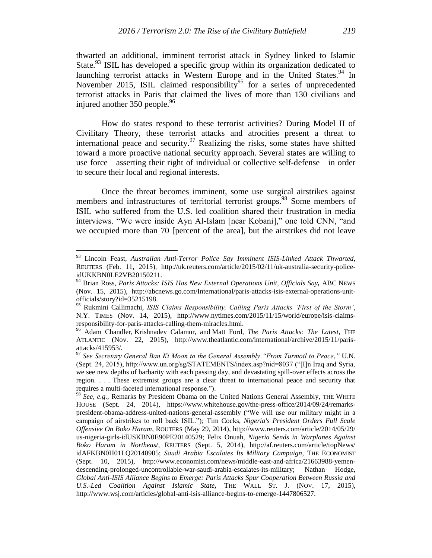thwarted an additional, imminent terrorist attack in Sydney linked to Islamic State.<sup>93</sup> ISIL has developed a specific group within its organization dedicated to launching terrorist attacks in Western Europe and in the United States.<sup>94</sup> In November 2015, ISIL claimed responsibility<sup>95</sup> for a series of unprecedented terrorist attacks in Paris that claimed the lives of more than 130 civilians and injured another 350 people.<sup>96</sup>

How do states respond to these terrorist activities? During Model II of Civilitary Theory, these terrorist attacks and atrocities present a threat to international peace and security.<sup>97</sup> Realizing the risks, some states have shifted toward a more proactive national security approach. Several states are willing to use force—asserting their right of individual or collective self-defense—in order to secure their local and regional interests.

Once the threat becomes imminent, some use surgical airstrikes against members and infrastructures of territorial terrorist groups.<sup>98</sup> Some members of ISIL who suffered from the U.S. led coalition shared their frustration in media interviews. "We were inside Ayn Al-Islam [near Kobani]," one told CNN, "and we occupied more than 70 [percent of the area], but the airstrikes did not leave

<sup>93</sup> Lincoln Feast, *Australian Anti-Terror Police Say Imminent ISIS-Linked Attack Thwarted*, REUTERS (Feb. 11, 2015), http://uk.reuters.com/article/2015/02/11/uk-australia-security-policeidUKKBN0LE2VB20150211.

<sup>94</sup> Brian Ross, *Paris Attacks: ISIS Has New External Operations Unit, Officials Say,* ABC NEWS (Nov. 15, 2015), http://abcnews.go.com/International/paris-attacks-isis-external-operations-unitofficials/story?id=35215198.

<sup>95</sup> Rukmini Callimachi, *ISIS Claims Responsibility, Calling Paris Attacks 'First of the Storm'*, N.Y. TIMES (Nov. 14, 2015), http://www.nytimes.com/2015/11/15/world/europe/isis-claimsresponsibility-for-paris-attacks-calling-them-miracles.html.

<sup>96</sup> Adam Chandler, Krishnadev Calamur, and Matt Ford, *The Paris Attacks: The Latest*, THE ATLANTIC (Nov. 22, 2015), http://www.theatlantic.com/international/archive/2015/11/parisattacks/415953/.

<sup>97</sup> *See Secretary General Ban Ki Moon to the General Assembly "From Turmoil to Peace*,*"* U.N. (Sept. 24, 2015), http://www.un.org/sg/STATEMENTS/index.asp?nid=8037 ("[I]n Iraq and Syria, we see new depths of barbarity with each passing day, and devastating spill-over effects across the region. . . . These extremist groups are a clear threat to international peace and security that requires a multi-faceted international response.").

<sup>98</sup> *See, e.g.,* Remarks by President Obama on the United Nations General Assembly, THE WHITE HOUSE (Sept. 24, 2014), https://www.whitehouse.gov/the-press-office/2014/09/24/remarkspresident-obama-address-united-nations-general-assembly ("We will use our military might in a campaign of airstrikes to roll back ISIL."); Tim Cocks, *Nigeria's President Orders Full Scale Offensive On Boko Haram*, ROUTERS (May 29, 2014), http://www.reuters.com/article/2014/05/29/ us-nigeria-girls-idUSKBN0E90PE20140529; Felix Onuah, *Nigeria Sends in Warplanes Against Boko Haram in Northeast*, REUTERS (Sept. 5, 2014), http://af.reuters.com/article/topNews/ idAFKBN0H01LQ20140905; *Saudi Arabia Escalates Its Military Campaign*, THE ECONOMIST (Sept. 10, 2015), http://www.economist.com/news/middle-east-and-africa/21663988-yemendescending-prolonged-uncontrollable-war-saudi-arabia-escalates-its-military; Nathan Hodge, *Global Anti-ISIS Alliance Begins to Emerge: Paris Attacks Spur Cooperation Between Russia and U.S.-Led Coalition Against Islamic State,* THE WALL ST. J. (NOV. 17, 2015), http://www.wsj.com/articles/global-anti-isis-alliance-begins-to-emerge-1447806527.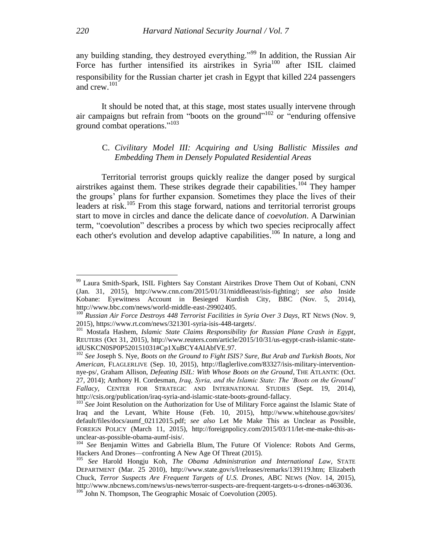any building standing, they destroyed everything."<sup>99</sup> In addition, the Russian Air Force has further intensified its airstrikes in Syria<sup>100</sup> after ISIL claimed responsibility for the Russian charter jet crash in Egypt that killed 224 passengers and crew. 101

It should be noted that, at this stage, most states usually intervene through air campaigns but refrain from "boots on the ground"<sup>102</sup> or "enduring offensive ground combat operations." 103

# C. *Civilitary Model III: Acquiring and Using Ballistic Missiles and Embedding Them in Densely Populated Residential Areas*

Territorial terrorist groups quickly realize the danger posed by surgical airstrikes against them. These strikes degrade their capabilities.<sup>104</sup> They hamper the groups' plans for further expansion. Sometimes they place the lives of their leaders at risk.<sup>105</sup> From this stage forward, nations and territorial terrorist groups start to move in circles and dance the delicate dance of *coevolution*. A Darwinian term, "coevolution" describes a process by which two species reciprocally affect each other's evolution and develop adaptive capabilities.<sup>106</sup> In nature, a long and

<sup>99</sup> Laura Smith-Spark, ISIL Fighters Say Constant Airstrikes Drove Them Out of Kobani, CNN (Jan. 31, 2015), http://www.cnn.com/2015/01/31/middleeast/isis-fighting/; *see also* Inside Kobane: Eyewitness Account in Besieged Kurdish City, BBC (Nov. 5, 2014), http://www.bbc.com/news/world-middle-east-29902405.

<sup>&</sup>lt;sup>100</sup> *Russian Air Force Destroys 448 Terrorist Facilities in Syria Over 3 Days, RT NEWS (Nov. 9,* 2015), https://www.rt.com/news/321301-syria-isis-448-targets/.

<sup>101</sup> Mostafa Hashem, *Islamic State Claims Responsibility for Russian Plane Crash in Egypt*, REUTERS (Oct 31, 2015), http://www.reuters.com/article/2015/10/31/us-egypt-crash-islamic-stateidUSKCN0SP0P520151031#Cp1XuBCY4AIAbfVE.97.

<sup>102</sup> *See* Joseph S. Nye, *Boots on the Ground to Fight ISIS? Sure, But Arab and Turkish Boots, Not American*, FLAGLERLIVE (Sep. 10, 2015), http://flaglerlive.com/83327/isis-military-interventionnye-ps/, Graham Allison, *Defeating ISIL: With Whose Boots on the Ground*, THE ATLANTIC (Oct. 27, 2014); Anthony H. Cordesman, *Iraq, Syria, and the Islamic State: The 'Boots on the Ground' Fallacy*, CENTER FOR STRATEGIC AND INTERNATIONAL STUDIES (Sept. 19, 2014), http://csis.org/publication/iraq-syria-and-islamic-state-boots-ground-fallacy.

<sup>&</sup>lt;sup>103</sup> See Joint Resolution on the Authorization for Use of Military Force against the Islamic State of Iraq and the Levant, White House (Feb. 10, 2015), http://www.whitehouse.gov/sites/ default/files/docs/aumf\_02112015.pdf; *see also* Let Me Make This as Unclear as Possible, FOREIGN POLICY (March 11, 2015), http://foreignpolicy.com/2015/03/11/let-me-make-this-asunclear-as-possible-obama-aumf-isis/.

<sup>&</sup>lt;sup>104</sup> See Benjamin Wittes and Gabriella Blum, The Future Of Violence: Robots And Germs, Hackers And Drones—confronting A New Age Of Threat (2015).

<sup>105</sup> *See* Harold Hongju Koh*, The Obama Administration and International Law*, STATE DEPARTMENT (Mar. 25 2010), http://www.state.gov/s/l/releases/remarks/139119.htm; Elizabeth Chuck, *Terror Suspects Are Frequent Targets of U.S. Drones,* ABC NEWS (Nov. 14, 2015), http://www.nbcnews.com/news/us-news/terror-suspects-are-frequent-targets-u-s-drones-n463036.

 $106$  John N. Thompson, The Geographic Mosaic of Coevolution (2005).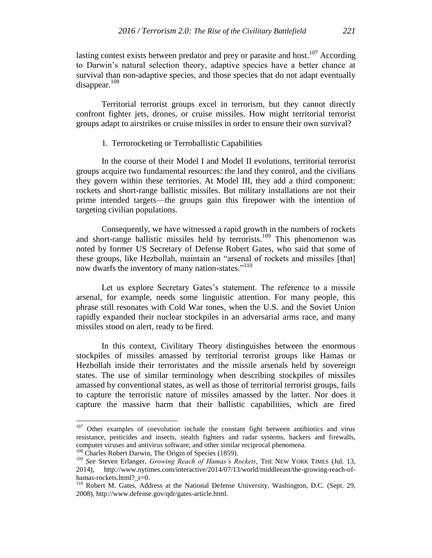lasting contest exists between predator and prey or parasite and host.<sup>107</sup> According to Darwin's natural selection theory, adaptive species have a better chance at survival than non-adaptive species, and those species that do not adapt eventually disappear. $108$ 

Territorial terrorist groups excel in terrorism, but they cannot directly confront fighter jets, drones, or cruise missiles. How might territorial terrorist groups adapt to airstrikes or cruise missiles in order to ensure their own survival?

# 1. Terrorocketing or Terroballistic Capabilities

In the course of their Model I and Model II evolutions, territorial terrorist groups acquire two fundamental resources: the land they control, and the civilians they govern within these territories. At Model III, they add a third component: rockets and short-range ballistic missiles. But military installations are not their prime intended targets—the groups gain this firepower with the intention of targeting civilian populations.

Consequently, we have witnessed a rapid growth in the numbers of rockets and short-range ballistic missiles held by terrorists.<sup>109</sup> This phenomenon was noted by former US Secretary of Defense Robert Gates, who said that some of these groups, like Hezbollah, maintain an "arsenal of rockets and missiles [that] now dwarfs the inventory of many nation-states."<sup>110</sup>

Let us explore Secretary Gates's statement. The reference to a missile arsenal, for example, needs some linguistic attention. For many people, this phrase still resonates with Cold War tones, when the U.S. and the Soviet Union rapidly expanded their nuclear stockpiles in an adversarial arms race, and many missiles stood on alert, ready to be fired.

In this context, Civilitary Theory distinguishes between the enormous stockpiles of missiles amassed by territorial terrorist groups like Hamas or Hezbollah inside their terroristates and the missile arsenals held by sovereign states. The use of similar terminology when describing stockpiles of missiles amassed by conventional states, as well as those of territorial terrorist groups, fails to capture the terroristic nature of missiles amassed by the latter. Nor does it capture the massive harm that their ballistic capabilities, which are fired

 $107$  Other examples of coevolution include the constant fight between antibiotics and virus resistance, pesticides and insects, stealth fighters and radar systems, hackers and firewalls, computer viruses and antivirus software, and other similar reciprocal phenomena.

<sup>&</sup>lt;sup>108</sup> Charles Robert Darwin, The Origin of Species (1859).

<sup>109</sup> *See* Steven Erlanger, *Growing Reach of Hamas's Rockets*, THE NEW YORK TIMES (Jul. 13, 2014), http://www.nytimes.com/interactive/2014/07/13/world/middleeast/the-growing-reach-ofhamas-rockets.html? r=0.

<sup>&</sup>lt;sup>110</sup> Robert M. Gates, Address at the National Defense University, Washington, D.C. (Sept. 29, 2008), http://www.defense.gov/qdr/gates-article.html.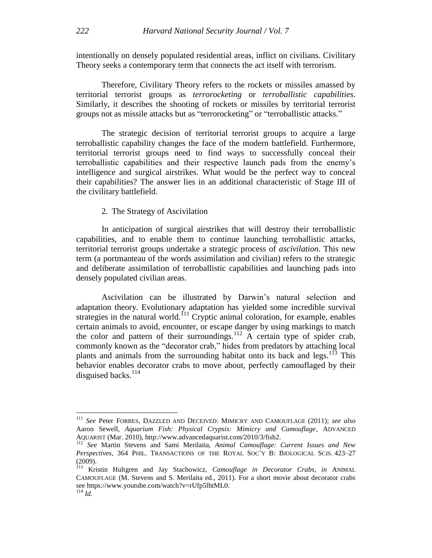intentionally on densely populated residential areas, inflict on civilians. Civilitary Theory seeks a contemporary term that connects the act itself with terrorism.

Therefore, Civilitary Theory refers to the rockets or missiles amassed by territorial terrorist groups as *terrorocketing* or *terroballistic capabilities*. Similarly, it describes the shooting of rockets or missiles by territorial terrorist groups not as missile attacks but as "terrorocketing" or "terroballistic attacks."

The strategic decision of territorial terrorist groups to acquire a large terroballistic capability changes the face of the modern battlefield. Furthermore, territorial terrorist groups need to find ways to successfully conceal their terroballistic capabilities and their respective launch pads from the enemy's intelligence and surgical airstrikes. What would be the perfect way to conceal their capabilities? The answer lies in an additional characteristic of Stage III of the civilitary battlefield.

# 2. The Strategy of Ascivilation

In anticipation of surgical airstrikes that will destroy their terroballistic capabilities, and to enable them to continue launching terroballistic attacks, territorial terrorist groups undertake a strategic process of *ascivilation*. This new term (a portmanteau of the words assimilation and civilian) refers to the strategic and deliberate assimilation of terroballistic capabilities and launching pads into densely populated civilian areas.

Ascivilation can be illustrated by Darwin's natural selection and adaptation theory. Evolutionary adaptation has yielded some incredible survival strategies in the natural world.<sup> $111$ </sup> Cryptic animal coloration, for example, enables certain animals to avoid, encounter, or escape danger by using markings to match the color and pattern of their surroundings.<sup>112</sup> A certain type of spider crab, commonly known as the "decorator crab," hides from predators by attaching local plants and animals from the surrounding habitat onto its back and legs.<sup>113</sup> This behavior enables decorator crabs to move about, perfectly camouflaged by their disguised backs. $114$ 

<sup>111</sup> *See* Peter FORBES, DAZZLED AND DECEIVED: MIMICRY AND CAMOUFLAGE (2011); *see also*  Aaron Sewell, *Aquarium Fish: Physical Crypsis: Mimicry and Camouflage*, ADVANCED AQUARIST (Mar. 2010), http://www.advancedaquarist.com/2010/3/fish2.

<sup>112</sup> *See* Martin Stevens and Sami Merilaita, *Animal Camouflage: Current Issues and New Perspectives*, 364 PHIL. TRANSACTIONS OF THE ROYAL SOC'Y B: BIOLOGICAL SCIS. 423–27 (2009).

<sup>113</sup> Kristin Hultgren and Jay Stachowicz, *Camouflage in Decorator Crabs*, *in* ANIMAL CAMOUFLAGE (M. Stevens and S. Merilaita ed., 2011). For a short movie about decorator crabs see https://www.youtube.com/watch?v=rUfp5lhtML0.  $\frac{114}{114}$  *Id.*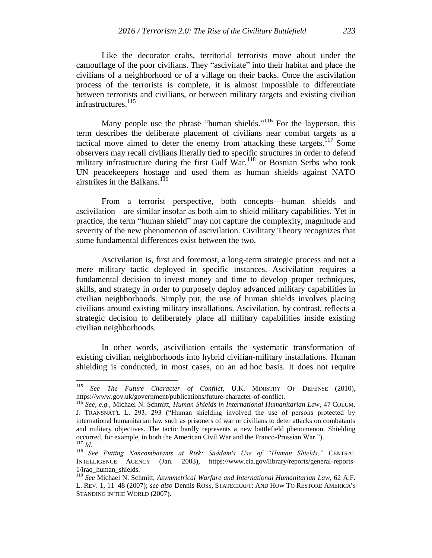Like the decorator crabs, territorial terrorists move about under the camouflage of the poor civilians. They "ascivilate" into their habitat and place the civilians of a neighborhood or of a village on their backs. Once the ascivilation process of the terrorists is complete, it is almost impossible to differentiate between terrorists and civilians, or between military targets and existing civilian infrastructures. 115

Many people use the phrase "human shields."<sup>116</sup> For the layperson, this term describes the deliberate placement of civilians near combat targets as a tactical move aimed to deter the enemy from attacking these targets.<sup>117</sup> Some observers may recall civilians literally tied to specific structures in order to defend military infrastructure during the first Gulf  $\text{War},^{118}$  or Bosnian Serbs who took UN peacekeepers hostage and used them as human shields against NATO airstrikes in the Balkans.<sup>119</sup>

From a terrorist perspective, both concepts—human shields and ascivilation—are similar insofar as both aim to shield military capabilities. Yet in practice, the term "human shield" may not capture the complexity, magnitude and severity of the new phenomenon of ascivilation*.* Civilitary Theory recognizes that some fundamental differences exist between the two.

Ascivilation is, first and foremost, a long-term strategic process and not a mere military tactic deployed in specific instances. Ascivilation requires a fundamental decision to invest money and time to develop proper techniques, skills, and strategy in order to purposely deploy advanced military capabilities in civilian neighborhoods. Simply put, the use of human shields involves placing civilians around existing military installations. Ascivilation, by contrast, reflects a strategic decision to deliberately place all military capabilities inside existing civilian neighborhoods.

In other words, asciviliation entails the systematic transformation of existing civilian neighborhoods into hybrid civilian-military installations. Human shielding is conducted, in most cases, on an ad hoc basis. It does not require

<sup>115</sup> <sup>115</sup> *See The Future Character of Conflict*, U.K. MINISTRY OF DEFENSE (2010), https://www.gov.uk/government/publications/future-character-of-conflict.

<sup>116</sup> *See, e.g.*, Michael N. Schmitt, *Human Shields in International Humanitarian Law*, 47 COLUM. J. TRANSNAT'L L. 293, 293 ("Human shielding involved the use of persons protected by international humanitarian law such as prisoners of war or civilians to deter attacks on combatants and military objectives. The tactic hardly represents a new battlefield phenomenon. Shielding occurred, for example, in both the American Civil War and the Franco-Prussian War."). <sup>117</sup> *Id.*

<sup>118</sup> *See Putting Noncombatants at Risk: Saddam's Use of "Human Shields,"* CENTRAL INTELLIGENCE AGENCY (Jan. 2003), https://www.cia.gov/library/reports/general-reports-1/iraq\_human\_shields.

<sup>119</sup> *See* Michael N. Schmitt, *Asymmetrical Warfare and International Humanitarian Law*, 62 A.F. L. REV. 1, 11–48 (2007); *see also* Dennis ROSS, STATECRAFT: AND HOW TO RESTORE AMERICA'S STANDING IN THE WORLD (2007).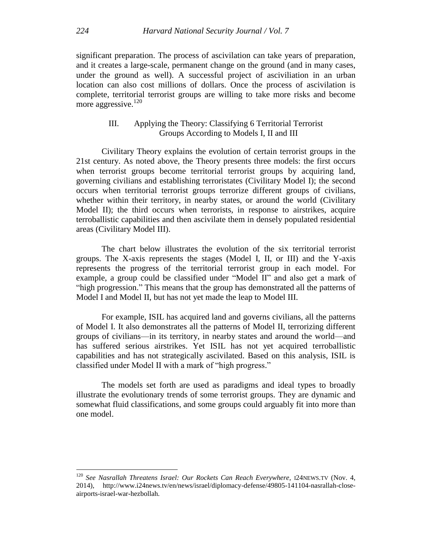significant preparation. The process of ascivilation can take years of preparation, and it creates a large-scale, permanent change on the ground (and in many cases, under the ground as well). A successful project of asciviliation in an urban location can also cost millions of dollars. Once the process of ascivilation is complete, territorial terrorist groups are willing to take more risks and become more aggressive. $120$ 

# III. Applying the Theory: Classifying 6 Territorial Terrorist Groups According to Models I, II and III

Civilitary Theory explains the evolution of certain terrorist groups in the 21st century. As noted above, the Theory presents three models: the first occurs when terrorist groups become territorial terrorist groups by acquiring land, governing civilians and establishing terroristates (Civilitary Model I); the second occurs when territorial terrorist groups terrorize different groups of civilians, whether within their territory, in nearby states, or around the world (Civilitary Model II); the third occurs when terrorists, in response to airstrikes, acquire terroballistic capabilities and then ascivilate them in densely populated residential areas (Civilitary Model III).

The chart below illustrates the evolution of the six territorial terrorist groups. The X-axis represents the stages (Model I, II, or III) and the Y-axis represents the progress of the territorial terrorist group in each model. For example, a group could be classified under "Model II" and also get a mark of "high progression." This means that the group has demonstrated all the patterns of Model I and Model II, but has not yet made the leap to Model III.

For example, ISIL has acquired land and governs civilians, all the patterns of Model I. It also demonstrates all the patterns of Model II, terrorizing different groups of civilians—in its territory, in nearby states and around the world—and has suffered serious airstrikes. Yet ISIL has not yet acquired terroballistic capabilities and has not strategically ascivilated. Based on this analysis, ISIL is classified under Model II with a mark of "high progress."

The models set forth are used as paradigms and ideal types to broadly illustrate the evolutionary trends of some terrorist groups. They are dynamic and somewhat fluid classifications, and some groups could arguably fit into more than one model.

<sup>120</sup> *See Nasrallah Threatens Israel: Our Rockets Can Reach Everywhere,* <sup>I</sup>24NEWS.TV (Nov. 4, 2014), http://www.i24news.tv/en/news/israel/diplomacy-defense/49805-141104-nasrallah-closeairports-israel-war-hezbollah.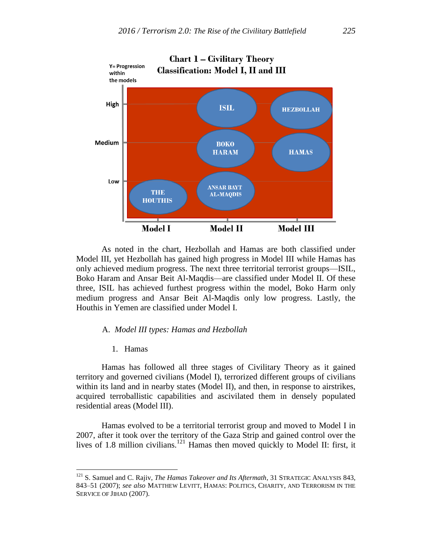

As noted in the chart, Hezbollah and Hamas are both classified under Model III, yet Hezbollah has gained high progress in Model III while Hamas has only achieved medium progress. The next three territorial terrorist groups—ISIL, Boko Haram and Ansar Beit Al-Maqdis—are classified under Model II. Of these three, ISIL has achieved furthest progress within the model, Boko Harm only medium progress and Ansar Beit Al-Maqdis only low progress. Lastly, the Houthis in Yemen are classified under Model I.

### A. *Model III types: Hamas and Hezbollah*

1. Hamas

 $\overline{a}$ 

Hamas has followed all three stages of Civilitary Theory as it gained territory and governed civilians (Model I), terrorized different groups of civilians within its land and in nearby states (Model II), and then, in response to airstrikes, acquired terroballistic capabilities and ascivilated them in densely populated residential areas (Model III).

Hamas evolved to be a territorial terrorist group and moved to Model I in 2007, after it took over the territory of the Gaza Strip and gained control over the lives of 1.8 million civilians.<sup>121</sup> Hamas then moved quickly to Model II: first, it

<sup>121</sup> S. Samuel and C. Rajiv, *The Hamas Takeover and Its Aftermath*, 31 STRATEGIC ANALYSIS 843, 843–51 (2007); *see also* MATTHEW LEVITT, HAMAS: POLITICS, CHARITY, AND TERRORISM IN THE SERVICE OF JIHAD (2007).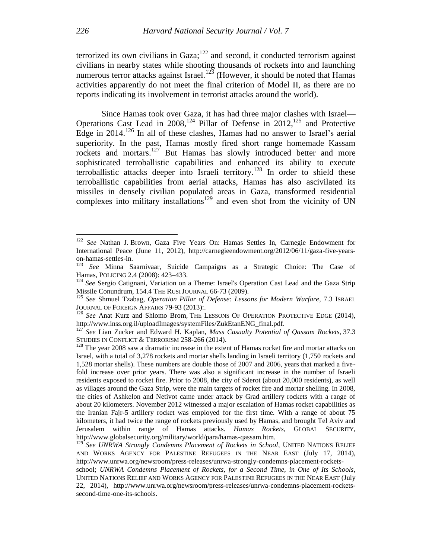terrorized its own civilians in Gaza; $122$  and second, it conducted terrorism against civilians in nearby states while shooting thousands of rockets into and launching numerous terror attacks against Israel.<sup>123</sup> (However, it should be noted that Hamas activities apparently do not meet the final criterion of Model II, as there are no reports indicating its involvement in terrorist attacks around the world).

Since Hamas took over Gaza, it has had three major clashes with Israel— Operations Cast Lead in  $2008$ , <sup>124</sup> Pillar of Defense in  $2012$ , <sup>125</sup> and Protective Edge in 2014. <sup>126</sup> In all of these clashes, Hamas had no answer to Israel's aerial superiority. In the past, Hamas mostly fired short range homemade Kassam rockets and mortars.<sup>127</sup> But Hamas has slowly introduced better and more sophisticated terroballistic capabilities and enhanced its ability to execute terroballistic attacks deeper into Israeli territory.<sup>128</sup> In order to shield these terroballistic capabilities from aerial attacks, Hamas has also ascivilated its missiles in densely civilian populated areas in Gaza, transformed residential complexes into military installations<sup>129</sup> and even shot from the vicinity of UN

See Nathan J. Brown, Gaza Five Years On: Hamas Settles In, Carnegie Endowment for International Peace (June 11, 2012), http://carnegieendowment.org/2012/06/11/gaza-five-yearson-hamas-settles-in.

<sup>123</sup> *See* Minna Saarnivaar, Suicide Campaigns as a Strategic Choice: The Case of Hamas, POLICING 2.4 (2008): 423–433.

<sup>&</sup>lt;sup>124</sup> See Sergio Catignani, Variation on a Theme: Israel's Operation Cast Lead and the Gaza Strip Missile Conundrum, 154.4 THE RUSI JOURNAL 66-73 (2009).

<sup>125</sup> *See* Shmuel Tzabag, *Operation Pillar of Defense: Lessons for Modern Warfare*, 7.3 ISRAEL JOURNAL OF FOREIGN AFFAIRS 79-93 (2013):.

<sup>&</sup>lt;sup>126</sup> See Anat Kurz and Shlomo Brom, THE LESSONS OF OPERATION PROTECTIVE EDGE (2014), http://www.inss.org.il/uploadImages/systemFiles/ZukEtanENG\_final.pdf.

<sup>127</sup> *See* Lian Zucker and Edward H. Kaplan, *Mass Casualty Potential of Qassam Rockets*, 37.3 STUDIES IN CONFLICT & TERRORISM 258-266 (2014).

<sup>&</sup>lt;sup>128</sup> The year 2008 saw a dramatic increase in the extent of Hamas rocket fire and mortar attacks on Israel, with a total of 3,278 rockets and mortar shells landing in Israeli territory (1,750 rockets and 1,528 mortar shells). These numbers are double those of 2007 and 2006, years that marked a fivefold increase over prior years. There was also a significant increase in the number of Israeli residents exposed to rocket fire. Prior to 2008, the city of Sderot (about 20,000 residents), as well as villages around the Gaza Strip, were the main targets of rocket fire and mortar shelling. In 2008, the cities of Ashkelon and Netivot came under attack by Grad artillery rockets with a range of about 20 kilometers. November 2012 witnessed a major escalation of Hamas rocket capabilities as the Iranian Fajr-5 artillery rocket was employed for the first time. With a range of about 75 kilometers, it had twice the range of rockets previously used by Hamas, and brought Tel Aviv and Jerusalem within range of Hamas attacks. *Hamas Rockets*, GLOBAL SECURITY, http://www.globalsecurity.org/military/world/para/hamas-qassam.htm.

<sup>129</sup> *See UNRWA Strongly Condemns Placement of Rockets in School*, UNITED NATIONS RELIEF AND WORKS AGENCY FOR PALESTINE REFUGEES IN THE NEAR EAST (July 17, 2014), http://www.unrwa.org/newsroom/press-releases/unrwa-strongly-condemns-placement-rockets-

school; *UNRWA Condemns Placement of Rockets, for a Second Time, in One of Its Schools*, UNITED NATIONS RELIEF AND WORKS AGENCY FOR PALESTINE REFUGEES IN THE NEAR EAST (July 22, 2014), http://www.unrwa.org/newsroom/press-releases/unrwa-condemns-placement-rocketssecond-time-one-its-schools.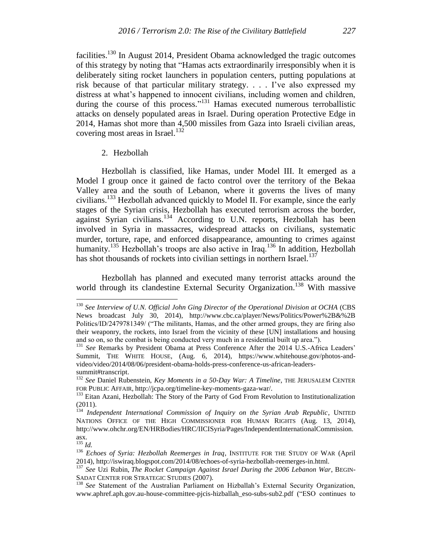facilities.<sup>130</sup> In August 2014, President Obama acknowledged the tragic outcomes of this strategy by noting that "Hamas acts extraordinarily irresponsibly when it is deliberately siting rocket launchers in population centers, putting populations at risk because of that particular military strategy. . . . I've also expressed my distress at what's happened to innocent civilians, including women and children, during the course of this process."<sup>131</sup> Hamas executed numerous terroballistic attacks on densely populated areas in Israel. During operation Protective Edge in 2014, Hamas shot more than 4,500 missiles from Gaza into Israeli civilian areas, covering most areas in Israel. $^{132}$ 

#### 2. Hezbollah

Hezbollah is classified, like Hamas, under Model III. It emerged as a Model I group once it gained de facto control over the territory of the Bekaa Valley area and the south of Lebanon, where it governs the lives of many civilians.<sup>133</sup> Hezbollah advanced quickly to Model II. For example, since the early stages of the Syrian crisis, Hezbollah has executed terrorism across the border, against Syrian civilians.<sup>134</sup> According to U.N. reports, Hezbollah has been involved in Syria in massacres, widespread attacks on civilians, systematic murder, torture, rape, and enforced disappearance, amounting to crimes against humanity.<sup>135</sup> Hezbollah's troops are also active in Iraq.<sup>136</sup> In addition, Hezbollah has shot thousands of rockets into civilian settings in northern Israel.<sup>137</sup>

Hezbollah has planned and executed many terrorist attacks around the world through its clandestine External Security Organization.<sup>138</sup> With massive

<sup>135</sup> *Id.*

<sup>130</sup> *See Interview of U.N. Official John Ging Director of the Operational Division at OCHA* (CBS News broadcast July 30, 2014), http://www.cbc.ca/player/News/Politics/Power%2B&%2B Politics/ID/2479781349/ ("The militants, Hamas, and the other armed groups, they are firing also their weaponry, the rockets, into Israel from the vicinity of these [UN] installations and housing and so on, so the combat is being conducted very much in a residential built up area.").

<sup>&</sup>lt;sup>131</sup> See Remarks by President Obama at Press Conference After the 2014 U.S.-Africa Leaders' Summit, THE WHITE HOUSE, (Aug. 6, 2014), https://www.whitehouse.gov/photos-andvideo/video/2014/08/06/president-obama-holds-press-conference-us-african-leaderssummit#transcript.

<sup>132</sup> *See* Daniel Rubenstein, *Key Moments in a 50-Day War: A Timeline*, THE JERUSALEM CENTER FOR PUBLIC AFFAIR, http://jcpa.org/timeline-key-moments-gaza-war/.

<sup>&</sup>lt;sup>133</sup> Eitan Azani, Hezbollah: The Story of the Party of God From Revolution to Institutionalization (2011).

<sup>134</sup> *Independent International Commission of Inquiry on the Syrian Arab Republic*, UNITED NATIONS OFFICE OF THE HIGH COMMISSIONER FOR HUMAN RIGHTS (Aug. 13, 2014), http://www.ohchr.org/EN/HRBodies/HRC/IICISyria/Pages/IndependentInternationalCommission. asx.

<sup>136</sup> *Echoes of Syria: Hezbollah Reemerges in Iraq*, INSTITUTE FOR THE STUDY OF WAR (April 2014), http://iswiraq.blogspot.com/2014/08/echoes-of-syria-hezbollah-reemerges-in.html.

<sup>&</sup>lt;sup>137</sup> See Uzi Rubin, *The Rocket Campaign Against Israel During the 2006 Lebanon War*, BEGIN-SADAT CENTER FOR STRATEGIC STUDIES (2007).

<sup>&</sup>lt;sup>138</sup> See Statement of the Australian Parliament on Hizballah's External Security Organization, www.aphref.aph.gov.au-house-committee-pjcis-hizballah\_eso-subs-sub2.pdf ("ESO continues to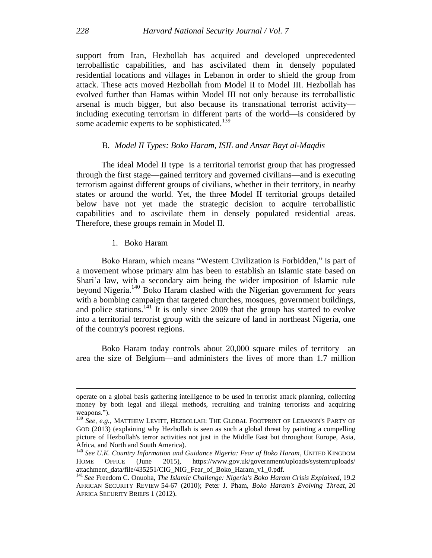support from Iran, Hezbollah has acquired and developed unprecedented terroballistic capabilities, and has ascivilated them in densely populated residential locations and villages in Lebanon in order to shield the group from attack. These acts moved Hezbollah from Model II to Model III. Hezbollah has evolved further than Hamas within Model III not only because its terroballistic arsenal is much bigger, but also because its transnational terrorist activity including executing terrorism in different parts of the world—is considered by some academic experts to be sophisticated.<sup>139</sup>

#### B. *Model II Types: Boko Haram, ISIL and Ansar Bayt al-Maqdis*

The ideal Model II type is a territorial terrorist group that has progressed through the first stage—gained territory and governed civilians—and is executing terrorism against different groups of civilians, whether in their territory, in nearby states or around the world. Yet, the three Model II territorial groups detailed below have not yet made the strategic decision to acquire terroballistic capabilities and to ascivilate them in densely populated residential areas. Therefore, these groups remain in Model II.

#### 1. Boko Haram

Boko Haram, which means "Western Civilization is Forbidden," is part of a movement whose primary aim has been to establish an Islamic state based on Shari'a law, with a secondary aim being the wider imposition of Islamic rule beyond Nigeria.<sup>140</sup> Boko Haram clashed with the Nigerian government for years with a bombing campaign that targeted churches, mosques, government buildings, and police stations.<sup>141</sup> It is only since 2009 that the group has started to evolve into a territorial terrorist group with the seizure of land in northeast Nigeria, one of the country's poorest regions.

Boko Haram today controls about 20,000 square miles of territory—an area the size of Belgium—and administers the lives of more than 1.7 million

operate on a global basis gathering intelligence to be used in terrorist attack planning, collecting money by both legal and illegal methods, recruiting and training terrorists and acquiring weapons.").

<sup>139</sup> *See, e.g.*, MATTHEW LEVITT, HEZBOLLAH: THE GLOBAL FOOTPRINT OF LEBANON'S PARTY OF GOD (2013) (explaining why Hezbollah is seen as such a global threat by painting a compelling picture of Hezbollah's terror activities not just in the Middle East but throughout Europe, Asia, Africa, and North and South America).

<sup>140</sup> *See U.K. Country Information and Guidance Nigeria: Fear of Boko Haram*, UNITED KINGDOM HOME OFFICE (June 2015), https://www.gov.uk/government/uploads/system/uploads/ attachment\_data/file/435251/CIG\_NIG\_Fear\_of\_Boko\_Haram\_v1\_0.pdf.

<sup>141</sup> *See* Freedom C. Onuoha, *The Islamic Challenge: Nigeria's Boko Haram Crisis Explained*, 19.2 AFRICAN SECURITY REVIEW 54-67 (2010); Peter J. Pham, *Boko Haram's Evolving Threat*, 20 AFRICA SECURITY BRIEFS 1 (2012).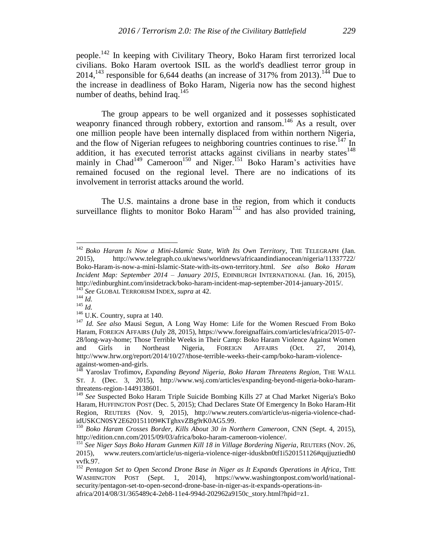people.<sup>142</sup> In keeping with Civilitary Theory, Boko Haram first terrorized local civilians. Boko Haram overtook ISIL as the world's deadliest terror group in 2014,<sup>143</sup> responsible for 6,644 deaths (an increase of 317% from 2013).<sup>144</sup> Due to the increase in deadliness of Boko Haram, Nigeria now has the second highest number of deaths, behind Iraq.<sup>145</sup>

The group appears to be well organized and it possesses sophisticated weaponry financed through robbery, extortion and ransom.<sup>146</sup> As a result, over one million people have been internally displaced from within northern Nigeria, and the flow of Nigerian refugees to neighboring countries continues to rise.<sup>147</sup> In addition, it has executed terrorist attacks against civilians in nearby states $148$ mainly in Chad<sup>149</sup> Cameroon<sup>150</sup> and Niger.<sup>151</sup> Boko Haram's activities have remained focused on the regional level. There are no indications of its involvement in terrorist attacks around the world.

The U.S. maintains a drone base in the region, from which it conducts surveillance flights to monitor Boko Haram<sup>152</sup> and has also provided training,

<sup>&</sup>lt;sup>142</sup> Boko Haram Is Now a Mini-Islamic State, With Its Own Territory, THE TELEGRAPH (Jan. 2015), http://www.telegraph.co.uk/news/worldnews/africaandindianocean/nigeria/11337722/ Boko-Haram-is-now-a-mini-Islamic-State-with-its-own-territory.html. *See also Boko Haram Incident Map: September 2014 – January 2015*, EDINBURGH INTERNATIONAL (Jan. 16, 2015), http://edinburghint.com/insidetrack/boko-haram-incident-map-september-2014-january-2015/. <sup>143</sup> *See* GLOBAL TERRORISM INDEX, *supra* at 42.

 $^{144}$  *Id.* 

 $^{145}$  *Id.* 

 $146$  U.K. Country, supra at 140.

<sup>147</sup> *Id. See also* Mausi Segun, A Long Way Home: Life for the Women Rescued From Boko Haram, FOREIGN AFFAIRS (July 28, 2015), https://www.foreignaffairs.com/articles/africa/2015-07- 28/long-way-home; Those Terrible Weeks in Their Camp: Boko Haram Violence Against Women and Girls in Northeast Nigeria, FOREIGN AFFAIRS (Oct. 27, 2014), http://www.hrw.org/report/2014/10/27/those-terrible-weeks-their-camp/boko-haram-violenceagainst-women-and-girls.

<sup>148</sup> Yaroslav Trofimov**,** *Expanding Beyond Nigeria, Boko Haram Threatens Region,* THE WALL ST. J. (Dec. 3, 2015), http://www.wsj.com/articles/expanding-beyond-nigeria-boko-haramthreatens-region-1449138601.

<sup>149</sup> *See* Suspected Boko Haram Triple Suicide Bombing Kills 27 at Chad Market Nigeria's Boko Haram, HUFFINGTON POST (Dec. 5, 2015); Chad Declares State Of Emergency In Boko Haram-Hit Region, REUTERS (Nov. 9, 2015), http://www.reuters.com/article/us-nigeria-violence-chadidUSKCN0SY2E620151109#KTghxvZBg9rK0AG5.99.

<sup>150</sup> *Boko Haram Crosses Border, Kills About 30 in Northern Cameroon*, CNN (Sept. 4, 2015), http://edition.cnn.com/2015/09/03/africa/boko-haram-cameroon-violence/.

<sup>151</sup> *See Niger Says Boko Haram Gunmen Kill 18 in Village Bordering Nigeria*, REUTERS (NOV. 26, 2015), www.reuters.com/article/us-nigeria-violence-niger-iduskbn0tf1i520151126#qujjuztiedh0 vvfk.97.

<sup>&</sup>lt;sup>152</sup> Pentagon Set to Open Second Drone Base in Niger as It Expands Operations in Africa, THE WASHINGTON POST (Sept. 1, 2014), https://www.washingtonpost.com/world/nationalsecurity/pentagon-set-to-open-second-drone-base-in-niger-as-it-expands-operations-inafrica/2014/08/31/365489c4-2eb8-11e4-994d-202962a9150c\_story.html?hpid=z1.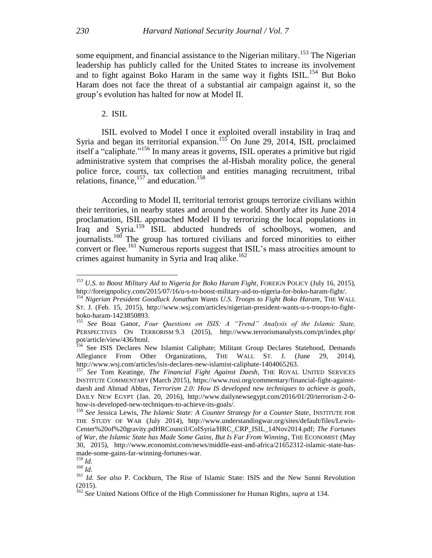some equipment, and financial assistance to the Nigerian military.<sup>153</sup> The Nigerian leadership has publicly called for the United States to increase its involvement and to fight against Boko Haram in the same way it fights  $ISIL$ <sup>154</sup> But Boko Haram does not face the threat of a substantial air campaign against it, so the group's evolution has halted for now at Model II.

2. ISIL

ISIL evolved to Model I once it exploited overall instability in Iraq and Syria and began its territorial expansion.<sup>155</sup> On June 29, 2014, ISIL proclaimed itself a "caliphate."<sup>156</sup> In many areas it governs, ISIL operates a primitive but rigid administrative system that comprises the al-Hisbah morality police, the general police force, courts, tax collection and entities managing recruitment, tribal relations, finance,  $157$  and education.<sup>158</sup>

According to Model II, territorial terrorist groups terrorize civilians within their territories, in nearby states and around the world. Shortly after its June 2014 proclamation, ISIL approached Model II by terrorizing the local populations in Iraq and Syria.<sup>159</sup> ISIL abducted hundreds of schoolboys, women, and journalists.<sup>160</sup> The group has tortured civilians and forced minorities to either convert or flee.<sup>161</sup> Numerous reports suggest that ISIL's mass atrocities amount to crimes against humanity in Syria and Iraq alike.<sup>162</sup>

<sup>153</sup> *U.S. to Boost Military Aid to Nigeria for Boko Haram Fight*, FOREIGN POLICY (July 16, 2015), http://foreignpolicy.com/2015/07/16/u-s-to-boost-military-aid-to-nigeria-for-boko-haram-fight/.

<sup>154</sup> *Nigerian President Goodluck Jonathan Wants U.S. Troops to Fight Boko Haram*, THE WALL ST. J. (Feb*.* 15, 2015), http://www.wsj.com/articles/nigerian-president-wants-u-s-troops-to-fightboko-haram-1423850893.

<sup>155</sup> *See* Boaz Ganor, *Four Questions on ISIS: A "Trend" Analysis of the Islamic State,*  PERSPECTIVES ON TERRORISM 9.3 (2015), http://www.terrorismanalysts.com/pt/index.php/ pot/article/view/436/html.

<sup>&</sup>lt;sup>156</sup> See ISIS Declares New Islamist Caliphate; Militant Group Declares Statehood, Demands Allegiance From Other Organizations, THE WALL ST. J. (June 29, 2014), http://www.wsj.com/articles/isis-declares-new-islamist-caliphate-1404065263.

<sup>157</sup> *See* Tom Keatinge, *The Financial Fight Against Daesh*, THE ROYAL UNITED SERVICES INSTITUTE COMMENTARY (March 2015), https://www.rusi.org/commentary/financial-fight-againstdaesh and Ahmad Abbas, *Terrorism 2.0: How IS developed new techniques to achieve is goals*, DAILY NEW EGYPT (Jan. 20, 2016), http://www.dailynewsegypt.com/2016/01/20/terrorism-2-0 how-is-developed-new-techniques-to-achieve-its-goals/.

<sup>158</sup> *See* Jessica Lewis, *The Islamic State: A Counter Strategy for a Counter State*, INSTITUTE FOR THE STUDY OF WAR (July 2014), http://www.understandingwar.org/sites/default/files/Lewis-Center%20of%20gravity.pdHRCouncil/CoISyria/HRC\_CRP\_ISIL\_14Nov2014.pdf; *The Fortunes of War, the Islamic State has Made Some Gains, But Is Far From Winning*, THE ECONOMIST (May 30, 2015), http://www.economist.com/news/middle-east-and-africa/21652312-islamic-state-hasmade-some-gains-far-winning-fortunes-war.

<sup>159</sup> *Id.*

<sup>160</sup> *Id.*

<sup>161</sup> *Id. See also* P. Cockburn, The Rise of Islamic State: ISIS and the New Sunni Revolution (2015).

<sup>162</sup> *See* United Nations Office of the High Commissioner for Human Rights*, supra* at 134.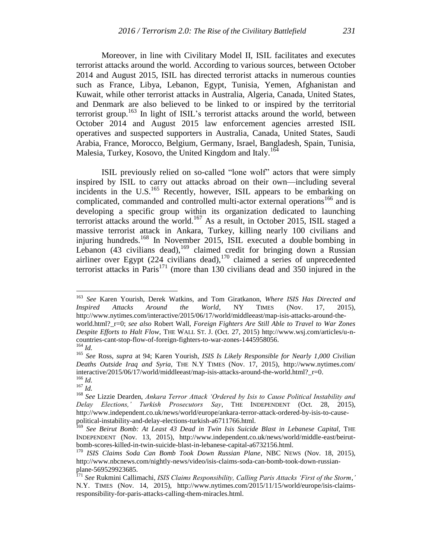Moreover, in line with Civilitary Model II, ISIL facilitates and executes terrorist attacks around the world. According to various sources, between October 2014 and August 2015, ISIL has directed terrorist attacks in numerous counties such as France, Libya, Lebanon, Egypt, Tunisia, Yemen, Afghanistan and Kuwait, while other terrorist attacks in Australia, Algeria, Canada, United States, and Denmark are also believed to be linked to or inspired by the territorial terrorist group.<sup>163</sup> In light of ISIL's terrorist attacks around the world, between October 2014 and August 2015 law enforcement agencies arrested ISIL operatives and suspected supporters in Australia, Canada, United States, Saudi Arabia, France, Morocco, Belgium, Germany, Israel, Bangladesh, Spain, Tunisia, Malesia, Turkey, Kosovo, the United Kingdom and Italy.<sup>164</sup>

ISIL previously relied on so-called "lone wolf" actors that were simply inspired by ISIL to carry out attacks abroad on their own—including several incidents in the U.S.<sup>165</sup> Recently, however, ISIL appears to be embarking on complicated, commanded and controlled multi-actor external operations<sup>166</sup> and is developing a specific group within its organization dedicated to launching terrorist attacks around the world.<sup>167</sup> As a result, in October 2015, ISIL staged a massive terrorist attack in Ankara, Turkey, killing nearly 100 civilians and injuring hundreds.<sup>168</sup> In November 2015, ISIL executed a double bombing in Lebanon (43 civilians dead), <sup>169</sup> claimed credit for bringing down a Russian airliner over Egypt  $(224$  civilians dead),<sup>170</sup> claimed a series of unprecedented terrorist attacks in Paris<sup>171</sup> (more than 130 civilians dead and 350 injured in the

<sup>163</sup> *See* Karen Yourish, Derek Watkins, and Tom Giratkanon, *Where ISIS Has Directed and Inspired Attacks Around the World*, NY TIMES (Nov. 17, 2015), http://www.nytimes.com/interactive/2015/06/17/world/middleeast/map-isis-attacks-around-theworld.html?\_r=0; *see also* Robert Wall, *Foreign Fighters Are Still Able to Travel to War Zones Despite Efforts to Halt Flow*, THE WALL ST. J. (Oct. 27, 2015) http://www.wsj.com/articles/u-ncountries-cant-stop-flow-of-foreign-fighters-to-war-zones-1445958056.

<sup>164</sup> *Id.*

<sup>165</sup> *See* Ross, *supra* at 94; Karen Yourish, *ISIS Is Likely Responsible for Nearly 1,000 Civilian Deaths Outside Iraq and Syria,* THE N.Y TIMES (Nov. 17, 2015), http://www.nytimes.com/ interactive/2015/06/17/world/middleeast/map-isis-attacks-around-the-world.html?\_r=0. <sup>166</sup> *Id.*

<sup>167</sup> *Id.*

<sup>168</sup> *See* Lizzie Dearden, *Ankara Terror Attack 'Ordered by Isis to Cause Political Instability and Delay Elections,' Turkish Prosecutors Say*, THE INDEPENDENT (Oct. 28, 2015), http://www.independent.co.uk/news/world/europe/ankara-terror-attack-ordered-by-isis-to-causepolitical-instability-and-delay-elections-turkish-a6711766.html.

<sup>169</sup> *See Beirut Bomb: At Least 43 Dead in Twin Isis Suicide Blast in Lebanese Capital,* THE INDEPENDENT (Nov. 13, 2015), http://www.independent.co.uk/news/world/middle-east/beirutbomb-scores-killed-in-twin-suicide-blast-in-lebanese-capital-a6732156.html.

<sup>170</sup> *ISIS Claims Soda Can Bomb Took Down Russian Plane*, NBC NEWS (Nov. 18, 2015), http://www.nbcnews.com/nightly-news/video/isis-claims-soda-can-bomb-took-down-russianplane-569529923685.

<sup>171</sup> *See* Rukmini Callimachi, *ISIS Claims Responsibility, Calling Paris Attacks 'First of the Storm*,*'*  N.Y. TIMES (Nov. 14, 2015), http://www.nytimes.com/2015/11/15/world/europe/isis-claimsresponsibility-for-paris-attacks-calling-them-miracles.html.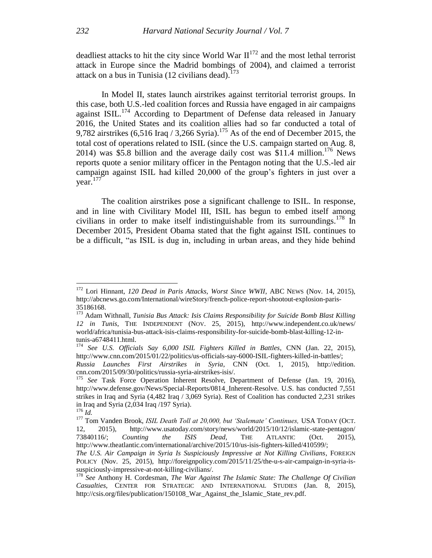deadliest attacks to hit the city since World War  $II^{172}$  and the most lethal terrorist attack in Europe since the Madrid bombings of 2004), and claimed a terrorist attack on a bus in Tunisia (12 civilians dead).<sup>173</sup>

In Model II, states launch airstrikes against territorial terrorist groups. In this case, both U.S.-led coalition forces and Russia have engaged in air campaigns against ISIL.<sup>174</sup> According to Department of Defense data released in January 2016, the United States and its coalition allies had so far conducted a total of 9,782 airstrikes  $(6,516 \text{ Iraq} / 3,266 \text{ Syria})$ .<sup>175</sup> As of the end of December 2015, the total cost of operations related to ISIL (since the U.S. campaign started on Aug. 8, 2014) was \$5.8 billion and the average daily cost was  $$11.4$  million.<sup>176</sup> News reports quote a senior military officer in the Pentagon noting that the U.S.-led air campaign against ISIL had killed 20,000 of the group's fighters in just over a year. 177

The coalition airstrikes pose a significant challenge to ISIL. In response, and in line with Civilitary Model III, ISIL has begun to embed itself among civilians in order to make itself indistinguishable from its surroundings.<sup>178</sup> In December 2015, President Obama stated that the fight against ISIL continues to be a difficult, "as ISIL is dug in, including in urban areas, and they hide behind

<sup>172</sup> Lori Hinnant, *120 Dead in Paris Attacks, Worst Since WWII*, ABC NEWS (Nov. 14, 2015), http://abcnews.go.com/International/wireStory/french-police-report-shootout-explosion-paris-35186168.

<sup>173</sup> Adam Withnall, *Tunisia Bus Attack: Isis Claims Responsibility for Suicide Bomb Blast Killing 12 in Tunis*, THE INDEPENDENT (NOV. 25, 2015), http://www.independent.co.uk/news/ world/africa/tunisia-bus-attack-isis-claims-responsibility-for-suicide-bomb-blast-killing-12-intunis-a6748411.html.

<sup>174</sup> *See U.S. Officials Say 6,000 ISIL Fighters Killed in Battles*, CNN (Jan. 22, 2015), http://www.cnn.com/2015/01/22/politics/us-officials-say-6000-ISIL-fighters-killed-in-battles/;

*Russia Launches First Airstrikes in Syria*, CNN (Oct. 1, 2015), http://edition. cnn.com/2015/09/30/politics/russia-syria-airstrikes-isis/.

<sup>&</sup>lt;sup>175</sup> See Task Force Operation Inherent Resolve, Department of Defense (Jan. 19, 2016), http://www.defense.gov/News/Special-Reports/0814\_Inherent-Resolve. U.S. has conducted 7,551 strikes in Iraq and Syria (4,482 Iraq / 3,069 Syria). Rest of Coalition has conducted 2,231 strikes in Iraq and Syria (2,034 Iraq /197 Syria).

<sup>176</sup> *Id.*

<sup>177</sup> Tom Vanden Brook, *ISIL Death Toll at 20,000, but 'Stalemate' Continues*, USA TODAY (OCT. 12, 2015), http://www.usatoday.com/story/news/world/2015/10/12/islamic-state-pentagon/ 73840116/; *Counting the ISIS Dead,* THE ATLANTIC (Oct. 2015), http://www.theatlantic.com/international/archive/2015/10/us-isis-fighters-killed/410599/;

*The U.S. Air Campaign in Syria Is Suspiciously Impressive at Not Killing Civilians*, FOREIGN POLICY (Nov. 25, 2015), http://foreignpolicy.com/2015/11/25/the-u-s-air-campaign-in-syria-issuspiciously-impressive-at-not-killing-civilians/.

<sup>178</sup> *See* Anthony H. Cordesman, *The War Against The Islamic State: The Challenge Of Civilian Casualties*, CENTER FOR STRATEGIC AND INTERNATIONAL STUDIES (Jan. 8, 2015), http://csis.org/files/publication/150108 War Against the Islamic State rev.pdf.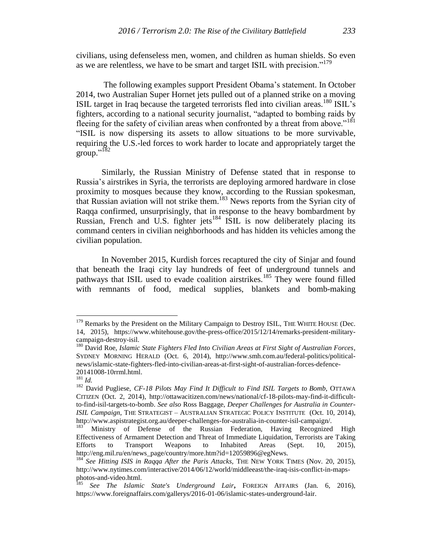civilians, using defenseless men, women, and children as human shields. So even as we are relentless, we have to be smart and target ISIL with precision."<sup>179</sup>

The following examples support President Obama's statement. In October 2014, two Australian Super Hornet jets pulled out of a planned strike on a moving ISIL target in Iraq because the targeted terrorists fled into civilian areas.<sup>180</sup> ISIL's fighters, according to a national security journalist, "adapted to bombing raids by fleeing for the safety of civilian areas when confronted by a threat from above."<sup>181</sup> "ISIL is now dispersing its assets to allow situations to be more survivable, requiring the U.S.-led forces to work harder to locate and appropriately target the group."<sup>182</sup>

Similarly, the Russian Ministry of Defense stated that in response to Russia's airstrikes in Syria, the terrorists are deploying armored hardware in close proximity to mosques because they know, according to the Russian spokesman, that Russian aviation will not strike them.<sup>183</sup> News reports from the Syrian city of Raqqa confirmed, unsurprisingly, that in response to the heavy bombardment by Russian, French and U.S. fighter jets<sup>184</sup> ISIL is now deliberately placing its command centers in civilian neighborhoods and has hidden its vehicles among the civilian population.

In November 2015, Kurdish forces recaptured the city of Sinjar and found that beneath the Iraqi city lay hundreds of feet of underground tunnels and pathways that ISIL used to evade coalition airstrikes.<sup>185</sup> They were found filled with remnants of food, medical supplies, blankets and bomb-making

<sup>&</sup>lt;sup>179</sup> Remarks by the President on the Military Campaign to Destroy ISIL, THE WHITE HOUSE (Dec. 14, 2015), https://www.whitehouse.gov/the-press-office/2015/12/14/remarks-president-militarycampaign-destroy-isil.

<sup>180</sup> David Roe, *Islamic State Fighters Fled Into Civilian Areas at First Sight of Australian Forces*, SYDNEY MORNING HERALD (Oct. 6, 2014), http://www.smh.com.au/federal-politics/politicalnews/islamic-state-fighters-fled-into-civilian-areas-at-first-sight-of-australian-forces-defence-20141008-10rrml.html.

 $\frac{281}{181}$  *Id.* 

<sup>182</sup> David Pugliese, *CF-18 Pilots May Find It Difficult to Find ISIL Targets to Bomb*, OTTAWA CITIZEN (Oct. 2, 2014), http://ottawacitizen.com/news/national/cf-18-pilots-may-find-it-difficultto-find-isil-targets-to-bomb. *See also* Ross Baggage, *Deeper Challenges for Australia in Counter-ISIL Campaign*, THE STRATEGIST – AUSTRALIAN STRATEGIC POLICY INSTITUTE (Oct. 10, 2014), http://www.aspistrategist.org.au/deeper-challenges-for-australia-in-counter-isil-campaign/.

<sup>183</sup> Ministry of Defense of the Russian Federation, Having Recognized High Effectiveness of Armament Detection and Threat of Immediate Liquidation, Terrorists are Taking Efforts to Transport Weapons to Inhabited Areas (Sept. 10, 2015), http://eng.mil.ru/en/news\_page/country/more.htm?id=12059896@egNews.

<sup>&</sup>lt;sup>184</sup> See Hitting ISIS in Raqqa After the Paris Attacks, THE NEW YORK TIMES (Nov. 20, 2015), http://www.nytimes.com/interactive/2014/06/12/world/middleeast/the-iraq-isis-conflict-in-mapsphotos-and-video.html.

<sup>185</sup> *See The Islamic State's Underground Lair***,** FOREIGN AFFAIRS (Jan. 6, 2016), https://www.foreignaffairs.com/gallerys/2016-01-06/islamic-states-underground-lair.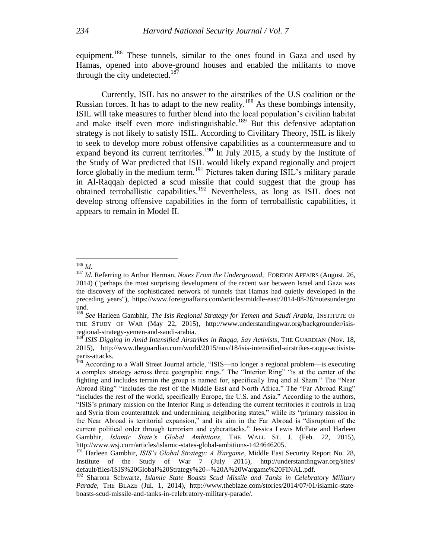equipment.<sup>186</sup> These tunnels, similar to the ones found in Gaza and used by Hamas, opened into above-ground houses and enabled the militants to move through the city undetected.<sup>187</sup>

Currently, ISIL has no answer to the airstrikes of the U.S coalition or the Russian forces. It has to adapt to the new reality.<sup>188</sup> As these bombings intensify, ISIL will take measures to further blend into the local population's civilian habitat and make itself even more indistinguishable.<sup>189</sup> But this defensive adaptation strategy is not likely to satisfy ISIL. According to Civilitary Theory, ISIL is likely to seek to develop more robust offensive capabilities as a countermeasure and to expand beyond its current territories.<sup>190</sup> In July 2015, a study by the Institute of the Study of War predicted that ISIL would likely expand regionally and project force globally in the medium term.<sup>191</sup> Pictures taken during ISIL's military parade in Al-Raqqah depicted a scud missile that could suggest that the group has obtained terroballistic capabilities.<sup>192</sup> Nevertheless, as long as ISIL does not develop strong offensive capabilities in the form of terroballistic capabilities, it appears to remain in Model II.

 $\overline{a}$ <sup>186</sup> *Id.*

<sup>187</sup> *Id.* Referring to Arthur Herman, *Notes From the Underground,* FOREIGN AFFAIRS (August. 26, 2014) ("perhaps the most surprising development of the recent war between Israel and Gaza was the discovery of the sophisticated network of tunnels that Hamas had quietly developed in the preceding years"), https://www.foreignaffairs.com/articles/middle-east/2014-08-26/notesundergro und.

<sup>188</sup> *See* Harleen Gambhir, *The Isis Regional Strategy for Yemen and Saudi Arabia*, INSTITUTE OF THE STUDY OF WAR (May 22, 2015), http://www.understandingwar.org/backgrounder/isisregional-strategy-yemen-and-saudi-arabia.

<sup>&</sup>lt;sup>189</sup> *ISIS Digging in Amid Intensified Airstrikes in Raqqa, Say Activists*, THE GUARDIAN (Nov. 18, 2015), http://www.theguardian.com/world/2015/nov/18/isis-intensified-airstrikes-raqqa-activistsparis-attacks.

<sup>&</sup>lt;sup>190</sup> According to a Wall Street Journal article, "ISIS—no longer a regional problem—is executing a complex strategy across three geographic rings." The "Interior Ring" "is at the center of the fighting and includes terrain the group is named for, specifically Iraq and al Sham." The "Near Abroad Ring" "includes the rest of the Middle East and North Africa." The "Far Abroad Ring" "includes the rest of the world, specifically Europe, the U.S. and Asia." According to the authors, "ISIS's primary mission on the Interior Ring is defending the current territories it controls in Iraq and Syria from counterattack and undermining neighboring states," while its "primary mission in the Near Abroad is territorial expansion," and its aim in the Far Abroad is "disruption of the current political order through terrorism and cyberattacks." Jessica Lewis McFate and Harleen Gambhir, *Islamic State's Global Ambitions*, THE WALL ST. J. (Feb. 22, 2015), http://www.wsj.com/articles/islamic-states-global-ambitions-1424646205.

<sup>&</sup>lt;sup>191</sup> Harleen Gambhir, *ISIS's Global Strategy: A Wargame*, Middle East Security Report No. 28, Institute of the Study of War 7 (July 2015), http://understandingwar.org/sites/ default/files/ISIS%20Global%20Strategy%20--%20A%20Wargame%20FINAL.pdf.

<sup>192</sup> Sharona Schwartz, *Islamic State Boasts Scud Missile and Tanks in Celebratory Military Parade*, THE BLAZE (Jul. 1, 2014), http://www.theblaze.com/stories/2014/07/01/islamic-stateboasts-scud-missile-and-tanks-in-celebratory-military-parade/.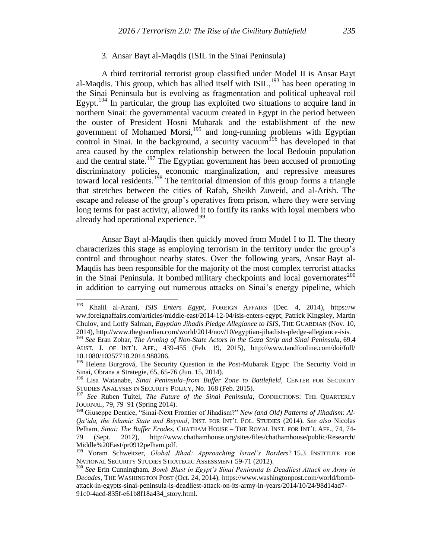#### 3. Ansar Bayt al-Maqdis (ISIL in the Sinai Peninsula)

A third territorial terrorist group classified under Model II is Ansar Bayt al-Maqdis. This group, which has allied itself with ISIL,<sup>193</sup> has been operating in the Sinai Peninsula but is evolving as fragmentation and political upheaval roil Egypt.<sup>194</sup> In particular, the group has exploited two situations to acquire land in northern Sinai: the governmental vacuum created in Egypt in the period between the ouster of President Hosni Mubarak and the establishment of the new government of Mohamed Morsi,<sup>195</sup> and long-running problems with Egyptian control in Sinai. In the background, a security vacuum<sup>196</sup> has developed in that area caused by the complex relationship between the local Bedouin population and the central state.<sup>197</sup> The Egyptian government has been accused of promoting discriminatory policies, economic marginalization, and repressive measures toward local residents. <sup>198</sup> The territorial dimension of this group forms a triangle that stretches between the cities of Rafah, Sheikh Zuweid, and al-Arish. The escape and release of the group's operatives from prison, where they were serving long terms for past activity, allowed it to fortify its ranks with loyal members who already had operational experience.<sup>199</sup>

Ansar Bayt al-Maqdis then quickly moved from Model I to II. The theory characterizes this stage as employing terrorism in the territory under the group's control and throughout nearby states. Over the following years, Ansar Bayt al-Maqdis has been responsible for the majority of the most complex terrorist attacks in the Sinai Peninsula. It bombed military checkpoints and local governorates $^{200}$ in addition to carrying out numerous attacks on Sinai's energy pipeline, which

<sup>193</sup> Khalil al-Anani, *ISIS Enters Egypt*, FOREIGN AFFAIRS (Dec. 4, 2014), https://w ww.foreignaffairs.com/articles/middle-east/2014-12-04/isis-enters-egypt; Patrick Kingsley, Martin Chulov, and Lotfy Salman, *Egyptian Jihadis Pledge Allegiance to ISIS*, THE GUARDIAN (Nov. 10, 2014), http://www.theguardian.com/world/2014/nov/10/egyptian-jihadists-pledge-allegiance-isis.

<sup>194</sup> *See* Eran Zohar*, The Arming of Non-State Actors in the Gaza Strip and Sinai Peninsula,* 69.4 AUST. J. OF INT'L AFF., 439-455 (Feb. 19, 2015), http://www.tandfonline.com/doi/full/ 10.1080/10357718.2014.988206.

<sup>&</sup>lt;sup>195</sup> Helena Burgrová, The Security Question in the Post-Mubarak Egypt: The Security Void in Sinai, Obrana a Strategie, 65, 65-76 (Jun. 15, 2014).

<sup>196</sup> Lisa Watanabe, *Sinai Peninsula–from Buffer Zone to Battlefield*, CENTER FOR SECURITY STUDIES ANALYSES IN SECURITY POLICY, No. 168 (Feb. 2015).

<sup>&</sup>lt;sup>197</sup> See Ruben Tuitel, *The Future of the Sinai Peninsula*, CONNECTIONS: THE QUARTERLY JOURNAL, 79, 79–91 (Spring 2014).

<sup>&</sup>lt;sup>198</sup> Giuseppe Dentice, "Sinai-Next Frontier of Jihadism?" New (and Old) Patterns of Jihadism: Al-*Qa'ida, the Islamic State and Beyond*, INST. FOR INT'L POL. STUDIES (2014). *See also* Nicolas Pelham, *Sinai: The Buffer Erodes*, CHATHAM HOUSE – THE ROYAL INST. FOR INT'L AFF., 74, 74- 79 (Sept. 2012), http://www.chathamhouse.org/sites/files/chathamhouse/public/Research/ Middle%20East/pr0912pelham.pdf.

<sup>199</sup> Yoram Schweitzer, *Global Jihad: Approaching Israel's Borders*? 15.3 INSTITUTE FOR NATIONAL SECURITY STUDIES STRATEGIC ASSESSMENT 59-71 (2012).

<sup>200</sup> *See* Erin Cunningham*, Bomb Blast in Egypt's Sinai Peninsula Is Deadliest Attack on Army in Decades,* THE WASHINGTON POST (Oct. 24, 2014), https://www.washingtonpost.com/world/bombattack-in-egypts-sinai-peninsula-is-deadliest-attack-on-its-army-in-years/2014/10/24/98d14ad7- 91c0-4acd-835f-e61b8f18a434\_story.html.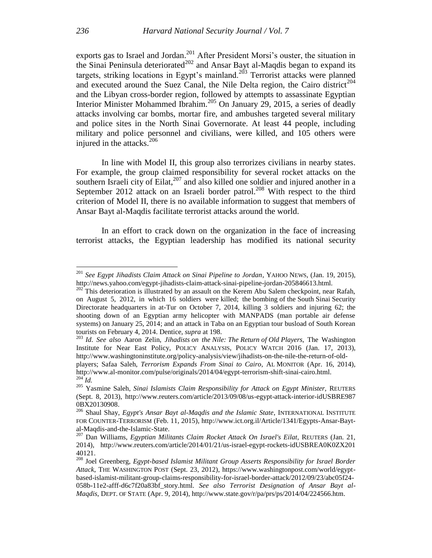exports gas to Israel and Jordan.<sup>201</sup> After President Morsi's ouster, the situation in the Sinai Peninsula deteriorated<sup>202</sup> and Ansar Bayt al-Maqdis began to expand its targets, striking locations in Egypt's mainland.<sup>203</sup> Terrorist attacks were planned and executed around the Suez Canal, the Nile Delta region, the Cairo district<sup>204</sup> and the Libyan cross-border region, followed by attempts to assassinate Egyptian Interior Minister Mohammed Ibrahim.<sup>205</sup> On January 29, 2015, a series of deadly attacks involving car bombs, mortar fire, and ambushes targeted several military and police sites in the North Sinai Governorate. At least 44 people, including military and police personnel and civilians, were killed, and 105 others were injured in the attacks. $206$ 

In line with Model II, this group also terrorizes civilians in nearby states. For example, the group claimed responsibility for several rocket attacks on the southern Israeli city of Eilat, $207$  and also killed one soldier and injured another in a September 2012 attack on an Israeli border patrol.<sup>208</sup> With respect to the third criterion of Model II, there is no available information to suggest that members of Ansar Bayt al-Maqdis facilitate terrorist attacks around the world.

In an effort to crack down on the organization in the face of increasing terrorist attacks, the Egyptian leadership has modified its national security

<sup>201</sup> *See Egypt Jihadists Claim Attack on Sinai Pipeline to Jordan*, YAHOO NEWS, (Jan. 19, 2015), http://news.yahoo.com/egypt-jihadists-claim-attack-sinai-pipeline-jordan-205846613.html.

 $202$  This deterioration is illustrated by an assault on the Kerem Abu Salem checkpoint, near Rafah, on August 5, 2012, in which 16 soldiers were killed; the bombing of the South Sinai Security Directorate headquarters in at-Tur on October 7, 2014, killing 3 soldiers and injuring 62; the shooting down of an Egyptian army helicopter with MANPADS (man portable air defense systems) on January 25, 2014; and an attack in Taba on an Egyptian tour busload of South Korean tourists on February 4, 2014. Dentice, *supra* at 198.

<sup>203</sup> *Id*. *See also* Aaron Zelin, *Jihadists on the Nile: The Return of Old Players*, The Washington Institute for Near East Policy, POLICY ANALYSIS, POLICY WATCH 2016 (Jan. 17, 2013), http://www.washingtoninstitute.org/policy-analysis/view/jihadists-on-the-nile-the-return-of-old-

players; Safaa Saleh, *Terrorism Expands From Sinai to Cairo*, AL MONITOR (Apr. 16, 2014), http://www.al-monitor.com/pulse/originals/2014/04/egypt-terrorism-shift-sinai-cairo.html.  $^{204}$ *Id.* 

<sup>205</sup> Yasmine Saleh, *Sinai Islamists Claim Responsibility for Attack on Egypt Minister,* REUTERS (Sept. 8, 2013), http://www.reuters.com/article/2013/09/08/us-egypt-attack-interior-idUSBRE987 0BX20130908.

<sup>206</sup> Shaul Shay, *Egypt's Ansar Bayt al-Maqdis and the Islamic State*, INTERNATIONAL INSTITUTE FOR COUNTER-TERRORISM (Feb. 11, 2015), http://www.ict.org.il/Article/1341/Egypts-Ansar-Baytal-Maqdis-and-the-Islamic-State.

<sup>207</sup> Dan Williams, *Egyptian Militants Claim Rocket Attack On Israel's Eilat*, REUTERS (Jan. 21, 2014), http://www.reuters.com/article/2014/01/21/us-israel-egypt-rockets-idUSBREA0K0ZX201 40121.

<sup>208</sup> Joel Greenberg, *Egypt-based Islamist Militant Group Asserts Responsibility for Israel Border Attack*, THE WASHINGTON POST (Sept. 23, 2012), https://www.washingtonpost.com/world/egyptbased-islamist-militant-group-claims-responsibility-for-israel-border-attack/2012/09/23/abc05f24- 058b-11e2-afff-d6c7f20a83bf\_story.html. *See also Terrorist Designation of Ansar Bayt al-Maqdis*, DEPT. OF STATE (Apr. 9, 2014), http://www.state.gov/r/pa/prs/ps/2014/04/224566.htm.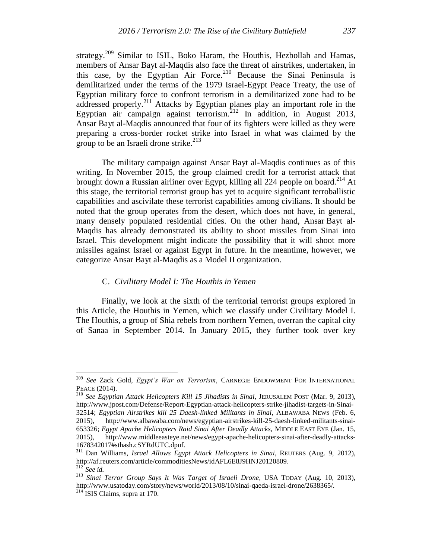strategy.<sup>209</sup> Similar to ISIL, Boko Haram, the Houthis, Hezbollah and Hamas, members of Ansar Bayt al-Maqdis also face the threat of airstrikes, undertaken, in this case, by the Egyptian Air Force.<sup>210</sup> Because the Sinai Peninsula is demilitarized under the terms of the 1979 Israel-Egypt Peace Treaty, the use of Egyptian military force to confront terrorism in a demilitarized zone had to be addressed properly.<sup>211</sup> Attacks by Egyptian planes play an important role in the Egyptian air campaign against terrorism.<sup>212</sup> In addition, in August 2013, Ansar Bayt al-Maqdis announced that four of its fighters were killed as they were preparing a cross-border rocket strike into Israel in what was claimed by the group to be an Israeli drone strike.<sup>213</sup>

The military campaign against Ansar Bayt al-Maqdis continues as of this writing. In November 2015, the group claimed credit for a terrorist attack that brought down a Russian airliner over Egypt, killing all 224 people on board.<sup>214</sup> At this stage, the territorial terrorist group has yet to acquire significant terroballistic capabilities and ascivilate these terrorist capabilities among civilians. It should be noted that the group operates from the desert, which does not have, in general, many densely populated residential cities. On the other hand, Ansar Bayt al-Maqdis has already demonstrated its ability to shoot missiles from Sinai into Israel. This development might indicate the possibility that it will shoot more missiles against Israel or against Egypt in future. In the meantime, however, we categorize Ansar Bayt al-Maqdis as a Model II organization.

## C. *Civilitary Model I: The Houthis in Yemen*

Finally, we look at the sixth of the territorial terrorist groups explored in this Article, the Houthis in Yemen, which we classify under Civilitary Model I. The Houthis, a group of Shia rebels from northern Yemen, overran the capital city of Sanaa in September 2014. In January 2015, they further took over key

<sup>209</sup> *See* Zack Gold, *Egypt's War on Terrorism*, CARNEGIE ENDOWMENT FOR INTERNATIONAL PEACE (2014).

<sup>210</sup> *See Egyptian Attack Helicopters Kill 15 Jihadists in Sinai*, JERUSALEM POST (Mar. 9, 2013), http://www.jpost.com/Defense/Report-Egyptian-attack-helicopters-strike-jihadist-targets-in-Sinai-32514; *Egyptian Airstrikes kill 25 Daesh-linked Militants in Sinai*, ALBAWABA NEWS (Feb. 6, 2015), http://www.albawaba.com/news/egyptian-airstrikes-kill-25-daesh-linked-militants-sinai-653326; *Egypt Apache Helicopters Raid Sinai After Deadly Attacks,* MIDDLE EAST EYE (Jan. 15, 2015), http://www.middleeasteye.net/news/egypt-apache-helicopters-sinai-after-deadly-attacks-1678342017#sthash.cSYRdUTC.dpuf.

**<sup>211</sup>** Dan Williams, *Israel Allows Egypt Attack Helicopters in Sinai*, REUTERS (Aug. 9, 2012), http://af.reuters.com/article/commoditiesNews/idAFL6E8J9HNJ20120809*.* <sup>212</sup>*See id.*

<sup>213</sup> *Sinai Terror Group Says It Was Target of Israeli Drone*, USA TODAY (Aug. 10, 2013), http://www.usatoday.com/story/news/world/2013/08/10/sinai-qaeda-israel-drone/2638365/.

 $214$  ISIS Claims, supra at 170.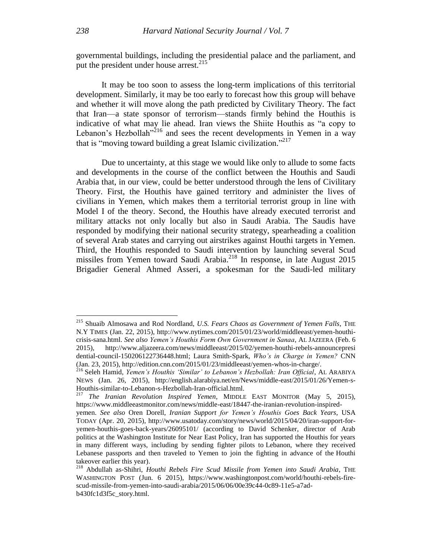governmental buildings, including the presidential palace and the parliament, and put the president under house arrest.<sup>215</sup>

It may be too soon to assess the long-term implications of this territorial development. Similarly, it may be too early to forecast how this group will behave and whether it will move along the path predicted by Civilitary Theory. The fact that Iran—a state sponsor of terrorism—stands firmly behind the Houthis is indicative of what may lie ahead. Iran views the Shiite Houthis as "a copy to Lebanon's Hezbollah<sup> $n^2$ 16</sup> and sees the recent developments in Yemen in a way that is "moving toward building a great Islamic civilization."<sup>217</sup>

Due to uncertainty, at this stage we would like only to allude to some facts and developments in the course of the conflict between the Houthis and Saudi Arabia that, in our view, could be better understood through the lens of Civilitary Theory. First, the Houthis have gained territory and administer the lives of civilians in Yemen, which makes them a territorial terrorist group in line with Model I of the theory. Second, the Houthis have already executed terrorist and military attacks not only locally but also in Saudi Arabia. The Saudis have responded by modifying their national security strategy, spearheading a coalition of several Arab states and carrying out airstrikes against Houthi targets in Yemen. Third, the Houthis responded to Saudi intervention by launching several Scud missiles from Yemen toward Saudi Arabia.<sup>218</sup> In response, in late August 2015 Brigadier General Ahmed Asseri, a spokesman for the Saudi-led military

<sup>215</sup> Shuaib Almosawa and Rod Nordland, *U.S. Fears Chaos as Government of Yemen Falls*, THE N.Y TIMES (Jan. 22, 2015), http://www.nytimes.com/2015/01/23/world/middleeast/yemen-houthicrisis-sana.html. *See also Yemen's Houthis Form Own Government in Sanaa*, AL JAZEERA (Feb. 6 2015), http://www.aljazeera.com/news/middleeast/2015/02/yemen-houthi-rebels-announcepresi dential-council-150206122736448.html; Laura Smith-Spark, *Who's in Charge in Yemen?* CNN (Jan. 23, 2015), http://edition.cnn.com/2015/01/23/middleeast/yemen-whos-in-charge/.

<sup>216</sup> Seleh Hamid, *Yemen's Houthis 'Similar' to Lebanon's Hezbollah: Iran Official*, AL ARABIYA NEWS (Jan. 26, 2015), http://english.alarabiya.net/en/News/middle-east/2015/01/26/Yemen-s-Houthis-similar-to-Lebanon-s-Hezbollah-Iran-official.html.

<sup>217</sup> *The Iranian Revolution Inspired Yemen*, MIDDLE EAST MONITOR (May 5, 2015), https://www.middleeastmonitor.com/news/middle-east/18447-the-iranian-revolution-inspired-

yemen. *See also* Oren Dorell, *Iranian Support for Yemen's Houthis Goes Back Years*, USA TODAY (Apr. 20, 2015), http://www.usatoday.com/story/news/world/2015/04/20/iran-support-foryemen-houthis-goes-back-years/26095101/ (according to David Schenker, director of Arab politics at the Washington Institute for Near East Policy, Iran has supported the Houthis for years in many different ways, including by sending fighter pilots to Lebanon, where they received Lebanese passports and then traveled to Yemen to join the fighting in advance of the Houthi takeover earlier this year).

<sup>218</sup> Abdullah as-Shihri, *Houthi Rebels Fire Scud Missile from Yemen into Saudi Arabia*, THE WASHINGTON POST (Jun. 6 2015), https://www.washingtonpost.com/world/houthi-rebels-firescud-missile-from-yemen-into-saudi-arabia/2015/06/06/00e39c44-0c89-11e5-a7adb430fc1d3f5c\_story.html.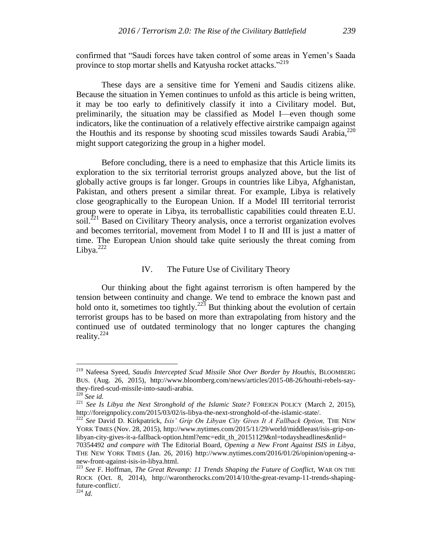confirmed that "Saudi forces have taken control of some areas in Yemen's Saada province to stop mortar shells and Katyusha rocket attacks."<sup>219</sup>

These days are a sensitive time for Yemeni and Saudis citizens alike. Because the situation in Yemen continues to unfold as this article is being written, it may be too early to definitively classify it into a Civilitary model. But, preliminarily, the situation may be classified as Model I—even though some indicators, like the continuation of a relatively effective airstrike campaign against the Houthis and its response by shooting scud missiles towards Saudi Arabia,<sup>220</sup> might support categorizing the group in a higher model.

Before concluding, there is a need to emphasize that this Article limits its exploration to the six territorial terrorist groups analyzed above, but the list of globally active groups is far longer. Groups in countries like Libya, Afghanistan, Pakistan, and others present a similar threat. For example, Libya is relatively close geographically to the European Union. If a Model III territorial terrorist group were to operate in Libya, its terroballistic capabilities could threaten E.U. soil.<sup>221</sup> Based on Civilitary Theory analysis, once a terrorist organization evolves and becomes territorial, movement from Model I to II and III is just a matter of time. The European Union should take quite seriously the threat coming from Libya. $222$ 

# IV. The Future Use of Civilitary Theory

Our thinking about the fight against terrorism is often hampered by the tension between continuity and change. We tend to embrace the known past and hold onto it, sometimes too tightly.<sup>223</sup> But thinking about the evolution of certain terrorist groups has to be based on more than extrapolating from history and the continued use of outdated terminology that no longer captures the changing reality. 224

<sup>219</sup> Nafeesa Syeed, *Saudis Intercepted Scud Missile Shot Over Border by Houthis,* BLOOMBERG BUS. (Aug. 26, 2015), http://www.bloomberg.com/news/articles/2015-08-26/houthi-rebels-saythey-fired-scud-missile-into-saudi-arabia.

<sup>220</sup> *See id.*

<sup>221</sup> *See Is Libya the Next Stronghold of the Islamic State?* FOREIGN POLICY (March 2, 2015), http://foreignpolicy.com/2015/03/02/is-libya-the-next-stronghold-of-the-islamic-state/.

<sup>222</sup> *See* David D. Kirkpatrick, *Isis' Grip On Libyan City Gives It A Fallback Option,* THE NEW YORK TIMES (Nov. 28, 2015), http://www.nytimes.com/2015/11/29/world/middleeast/isis-grip-onlibyan-city-gives-it-a-fallback-option.html?emc=edit\_th\_20151129&nl=todaysheadlines&nlid=

<sup>70354492</sup> *and compare with* The Editorial Board, *Opening a New Front Against ISIS in Libya*, THE NEW YORK TIMES (Jan. 26, 2016) http://www.nytimes.com/2016/01/26/opinion/opening-anew-front-against-isis-in-libya.html.

<sup>223</sup> *See* F. Hoffman, *The Great Revamp: 11 Trends Shaping the Future of Conflict,* WAR ON THE ROCK (Oct. 8, 2014), http://warontherocks.com/2014/10/the-great-revamp-11-trends-shapingfuture-conflict/.

<sup>224</sup> *Id.*